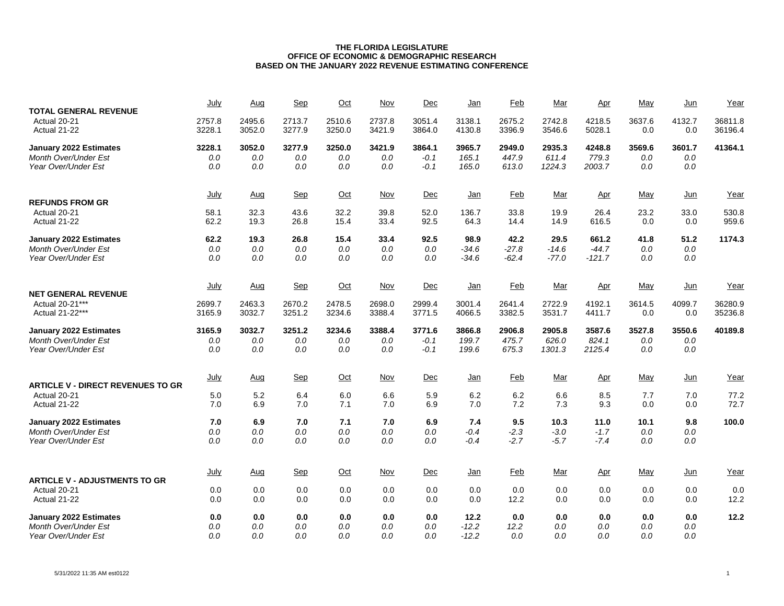| <b>TOTAL GENERAL REVENUE</b>                       | July             | Aug              | Sep              | Oct              | Nov              | Dec              | Jan                | Feb                | Mar                | Apr                 | May           | Jun            | Year               |
|----------------------------------------------------|------------------|------------------|------------------|------------------|------------------|------------------|--------------------|--------------------|--------------------|---------------------|---------------|----------------|--------------------|
| Actual 20-21<br>Actual 21-22                       | 2757.8<br>3228.1 | 2495.6<br>3052.0 | 2713.7<br>3277.9 | 2510.6<br>3250.0 | 2737.8<br>3421.9 | 3051.4<br>3864.0 | 3138.1<br>4130.8   | 2675.2<br>3396.9   | 2742.8<br>3546.6   | 4218.5<br>5028.1    | 3637.6<br>0.0 | 4132.7<br>0.0  | 36811.8<br>36196.4 |
| January 2022 Estimates                             | 3228.1           | 3052.0           | 3277.9           | 3250.0           | 3421.9           | 3864.1           | 3965.7             | 2949.0             | 2935.3             | 4248.8              | 3569.6        | 3601.7         | 41364.1            |
| <b>Month Over/Under Est</b>                        | 0.0              | 0.0              | 0.0              | 0.0              | 0.0              | $-0.1$           | 165.1              | 447.9              | 611.4              | 779.3               | 0.0           | 0.0            |                    |
| Year Over/Under Est                                | $0.0$            | 0.0              | 0.0              | 0.0              | 0.0              | $-0.1$           | 165.0              | 613.0              | 1224.3             | 2003.7              | 0.0           | 0.0            |                    |
| <b>REFUNDS FROM GR</b>                             | July             | Aug              | <b>Sep</b>       | $Oct$            | <b>Nov</b>       | Dec              | <u>Jan</u>         | <b>Feb</b>         | <u>Mar</u>         | <u>Apr</u>          | May           | $Jun$          | Year               |
| Actual 20-21                                       | 58.1             | 32.3             | 43.6             | 32.2             | 39.8             | 52.0             | 136.7              | 33.8               | 19.9               | 26.4                | 23.2          | 33.0           | 530.8              |
| Actual 21-22                                       | 62.2             | 19.3             | 26.8             | 15.4             | 33.4             | 92.5             | 64.3               | 14.4               | 14.9               | 616.5               | 0.0           | 0.0            | 959.6              |
| January 2022 Estimates                             | 62.2             | 19.3             | 26.8             | 15.4             | 33.4             | 92.5             | 98.9               | 42.2               | 29.5               | 661.2               | 41.8          | 51.2           | 1174.3             |
| <b>Month Over/Under Est</b><br>Year Over/Under Est | $0.0$<br>0.0     | 0.0<br>0.0       | 0.0<br>0.0       | 0.0<br>0.0       | 0.0<br>0.0       | 0.0<br>0.0       | $-34.6$<br>$-34.6$ | $-27.8$<br>$-62.4$ | $-14.6$<br>$-77.0$ | $-44.7$<br>$-121.7$ | 0.0<br>0.0    | $0.0\,$<br>0.0 |                    |
|                                                    |                  |                  |                  |                  |                  |                  |                    |                    |                    |                     |               |                |                    |
| <b>NET GENERAL REVENUE</b>                         | July             | Aug              | <b>Sep</b>       | $Oct$            | Nov              | Dec              | <u>Jan</u>         | Feb                | Mar                | Apr                 | May           | Jun            | Year               |
| Actual 20-21***                                    | 2699.7           | 2463.3           | 2670.2           | 2478.5           | 2698.0           | 2999.4           | 3001.4             | 2641.4             | 2722.9             | 4192.1              | 3614.5        | 4099.7         | 36280.9            |
| Actual 21-22***                                    | 3165.9           | 3032.7           | 3251.2           | 3234.6           | 3388.4           | 3771.5           | 4066.5             | 3382.5             | 3531.7             | 4411.7              | 0.0           | 0.0            | 35236.8            |
| January 2022 Estimates                             | 3165.9           | 3032.7           | 3251.2           | 3234.6           | 3388.4           | 3771.6           | 3866.8             | 2906.8             | 2905.8             | 3587.6              | 3527.8        | 3550.6         | 40189.8            |
| <b>Month Over/Under Est</b><br>Year Over/Under Est | $0.0\,$<br>0.0   | 0.0<br>0.0       | 0.0<br>0.0       | 0.0<br>0.0       | 0.0<br>0.0       | $-0.1$<br>$-0.1$ | 199.7<br>199.6     | 475.7<br>675.3     | 626.0<br>1301.3    | 824.1<br>2125.4     | 0.0<br>0.0    | $0.0\,$<br>0.0 |                    |
|                                                    |                  |                  |                  |                  |                  |                  |                    |                    |                    |                     |               |                |                    |
| <b>ARTICLE V - DIRECT REVENUES TO GR</b>           | July             | Aug              | Sep              | $Oct$            | <b>Nov</b>       | Dec              | <u>Jan</u>         | <b>Feb</b>         | <u>Mar</u>         | <u>Apr</u>          | May           | $Jun$          | Year               |
| Actual 20-21                                       | 5.0              | 5.2              | 6.4              | 6.0              | 6.6              | 5.9              | 6.2                | 6.2                | 6.6                | 8.5                 | 7.7           | 7.0            | 77.2               |
| Actual 21-22                                       | 7.0              | 6.9              | 7.0              | 7.1              | 7.0              | 6.9              | 7.0                | 7.2                | 7.3                | 9.3                 | 0.0           | 0.0            | 72.7               |
| January 2022 Estimates                             | 7.0              | 6.9              | 7.0              | 7.1              | 7.0              | 6.9              | 7.4                | 9.5                | 10.3               | 11.0                | 10.1          | 9.8            | 100.0              |
| <b>Month Over/Under Est</b>                        | $0.0$            | 0.0              | 0.0              | 0.0              | $0.0$            | 0.0              | $-0.4$             | $-2.3$             | $-3.0$             | $-1.7$              | 0.0           | 0.0            |                    |
| Year Over/Under Est                                | 0.0              | 0.0              | 0.0              | 0.0              | 0.0              | 0.0              | $-0.4$             | $-2.7$             | $-5.7$             | $-7.4$              | 0.0           | 0.0            |                    |
|                                                    | July             | Aug              | Sep              | $Oct$            | <b>Nov</b>       | Dec              | <u>Jan</u>         | <b>Feb</b>         | <u>Mar</u>         | Apr                 | May           | $Jun$          | Year               |
| <b>ARTICLE V - ADJUSTMENTS TO GR</b>               |                  |                  |                  |                  |                  |                  |                    |                    |                    |                     |               |                |                    |
| Actual 20-21<br>Actual 21-22                       | 0.0<br>0.0       | 0.0<br>0.0       | 0.0<br>0.0       | 0.0<br>0.0       | 0.0<br>0.0       | 0.0<br>0.0       | 0.0<br>0.0         | 0.0<br>12.2        | 0.0<br>0.0         | 0.0<br>0.0          | 0.0<br>0.0    | 0.0<br>0.0     | 0.0<br>12.2        |
|                                                    |                  |                  |                  |                  |                  |                  |                    |                    |                    |                     |               |                |                    |
| January 2022 Estimates                             | 0.0              | 0.0              | 0.0              | 0.0              | 0.0              | 0.0              | 12.2               | 0.0                | 0.0                | 0.0                 | 0.0           | 0.0            | 12.2               |
| Month Over/Under Est<br>Year Over/Under Est        | 0.0<br>0.0       | 0.0<br>0.0       | 0.0<br>0.0       | 0.0<br>0.0       | 0.0<br>0.0       | 0.0<br>0.0       | $-12.2$<br>$-12.2$ | 12.2<br>0.0        | 0.0<br>0.0         | 0.0<br>0.0          | 0.0<br>0.0    | 0.0<br>0.0     |                    |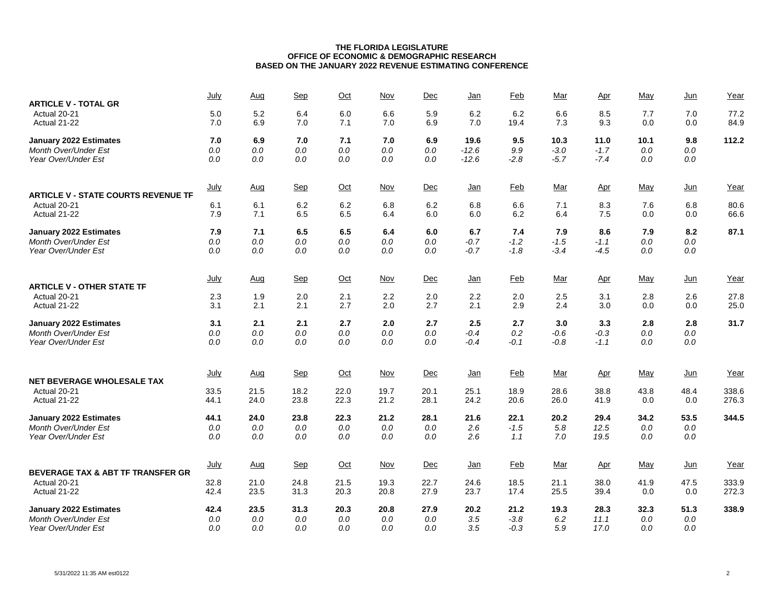| <b>ARTICLE V - TOTAL GR</b>                | July        | <u>Aug</u> | Sep     | $Oct$   | <b>Nov</b> | Dec  | <u>Jan</u> | <b>Feb</b> | Mar        | <u>Apr</u> | May     | <u>Jun</u> | Year  |
|--------------------------------------------|-------------|------------|---------|---------|------------|------|------------|------------|------------|------------|---------|------------|-------|
| Actual 20-21                               | 5.0         | 5.2        | 6.4     | 6.0     | 6.6        | 5.9  | 6.2        | 6.2        | 6.6        | 8.5        | 7.7     | 7.0        | 77.2  |
| Actual 21-22                               | 7.0         | 6.9        | 7.0     | 7.1     | 7.0        | 6.9  | 7.0        | 19.4       | 7.3        | 9.3        | 0.0     | 0.0        | 84.9  |
| <b>January 2022 Estimates</b>              | 7.0         | 6.9        | 7.0     | 7.1     | 7.0        | 6.9  | 19.6       | 9.5        | 10.3       | 11.0       | 10.1    | 9.8        | 112.2 |
| Month Over/Under Est                       | $0.0$       | 0.0        | 0.0     | 0.0     | 0.0        | 0.0  | $-12.6$    | 9.9        | $-3.0$     | $-1.7$     | 0.0     | 0.0        |       |
| Year Over/Under Est                        | 0.0         | 0.0        | 0.0     | 0.0     | 0.0        | 0.0  | $-12.6$    | $-2.8$     | $-5.7$     | $-7.4$     | 0.0     | $0.0\,$    |       |
| <b>ARTICLE V - STATE COURTS REVENUE TF</b> | <b>July</b> | <u>Aug</u> | Sep     | $Oct$   | <b>Nov</b> | Dec  | <u>Jan</u> | <b>Feb</b> | <u>Mar</u> | <u>Apr</u> | May     | $Jun$      | Year  |
| Actual 20-21                               | 6.1         | 6.1        | 6.2     | 6.2     | 6.8        | 6.2  | 6.8        | 6.6        | 7.1        | 8.3        | 7.6     | 6.8        | 80.6  |
| Actual 21-22                               | 7.9         | 7.1        | 6.5     | 6.5     | 6.4        | 6.0  | 6.0        | 6.2        | 6.4        | 7.5        | 0.0     | 0.0        | 66.6  |
| <b>January 2022 Estimates</b>              | 7.9         | 7.1        | 6.5     | 6.5     | 6.4        | 6.0  | 6.7        | 7.4        | 7.9        | 8.6        | 7.9     | 8.2        | 87.1  |
| <b>Month Over/Under Est</b>                | 0.0         | 0.0        | 0.0     | 0.0     | 0.0        | 0.0  | $-0.7$     | $-1.2$     | $-1.5$     | $-1.1$     | 0.0     | 0.0        |       |
| Year Over/Under Est                        | 0.0         | 0.0        | 0.0     | 0.0     | 0.0        | 0.0  | $-0.7$     | $-1.8$     | $-3.4$     | $-4.5$     | 0.0     | $0.0\,$    |       |
| <b>ARTICLE V - OTHER STATE TF</b>          | July        | Aug        | Sep     | $Oct$   | Nov        | Dec  | <u>Jan</u> | Feb        | Mar        | Apr        | May     | $Jun$      | Year  |
| Actual 20-21                               | 2.3         | 1.9        | 2.0     | 2.1     | 2.2        | 2.0  | 2.2        | 2.0        | 2.5        | 3.1        | 2.8     | 2.6        | 27.8  |
| Actual 21-22                               | 3.1         | 2.1        | 2.1     | 2.7     | 2.0        | 2.7  | 2.1        | 2.9        | 2.4        | 3.0        | 0.0     | 0.0        | 25.0  |
| <b>January 2022 Estimates</b>              | 3.1         | 2.1        | 2.1     | 2.7     | 2.0        | 2.7  | 2.5        | 2.7        | 3.0        | 3.3        | 2.8     | 2.8        | 31.7  |
| <b>Month Over/Under Est</b>                | 0.0         | $0.0\,$    | $0.0\,$ | $0.0\,$ | $0.0\,$    | 0.0  | $-0.4$     | 0.2        | $-0.6$     | $-0.3$     | $0.0\,$ | $0.0\,$    |       |
| Year Over/Under Est                        | 0.0         | 0.0        | 0.0     | 0.0     | 0.0        | 0.0  | $-0.4$     | $-0.1$     | $-0.8$     | $-1.1$     | 0.0     | 0.0        |       |
| <b>NET BEVERAGE WHOLESALE TAX</b>          | July        | Aug        | Sep     | $Oct$   | Nov        | Dec  | <u>Jan</u> | Feb        | Mar        | Apr        | May     | Jun        | Year  |
| Actual 20-21                               | 33.5        | 21.5       | 18.2    | 22.0    | 19.7       | 20.1 | 25.1       | 18.9       | 28.6       | 38.8       | 43.8    | 48.4       | 338.6 |
| Actual 21-22                               | 44.1        | 24.0       | 23.8    | 22.3    | 21.2       | 28.1 | 24.2       | 20.6       | 26.0       | 41.9       | 0.0     | 0.0        | 276.3 |
| <b>January 2022 Estimates</b>              | 44.1        | 24.0       | 23.8    | 22.3    | 21.2       | 28.1 | 21.6       | 22.1       | 20.2       | 29.4       | 34.2    | 53.5       | 344.5 |
| Month Over/Under Est                       | 0.0         | $0.0\,$    | $0.0\,$ | $0.0\,$ | $0.0\,$    | 0.0  | 2.6        | $-1.5$     | 5.8        | 12.5       | $0.0\,$ | $0.0\,$    |       |
| Year Over/Under Est                        | 0.0         | 0.0        | 0.0     | 0.0     | 0.0        | 0.0  | 2.6        | 1.1        | 7.0        | 19.5       | 0.0     | 0.0        |       |
| BEVERAGE TAX & ABT TF TRANSFER GR          | July        | Aug        | Sep     | $Oct$   | Nov        | Dec  | <u>Jan</u> | Feb        | Mar        | Apr        | May     | Jun        | Year  |
| Actual 20-21                               | 32.8        | 21.0       | 24.8    | 21.5    | 19.3       | 22.7 | 24.6       | 18.5       | 21.1       | 38.0       | 41.9    | 47.5       | 333.9 |
| Actual 21-22                               | 42.4        | 23.5       | 31.3    | 20.3    | 20.8       | 27.9 | 23.7       | 17.4       | 25.5       | 39.4       | 0.0     | 0.0        | 272.3 |
| <b>January 2022 Estimates</b>              | 42.4        | 23.5       | 31.3    | 20.3    | 20.8       | 27.9 | 20.2       | 21.2       | 19.3       | 28.3       | 32.3    | 51.3       | 338.9 |
| Month Over/Under Est                       | 0.0         | 0.0        | 0.0     | 0.0     | 0.0        | 0.0  | 3.5        | $-3.8$     | 6.2        | 11.1       | 0.0     | 0.0        |       |
| Year Over/Under Est                        | 0.0         | 0.0        | 0.0     | 0.0     | 0.0        | 0.0  | 3.5        | $-0.3$     | 5.9        | 17.0       | 0.0     | 0.0        |       |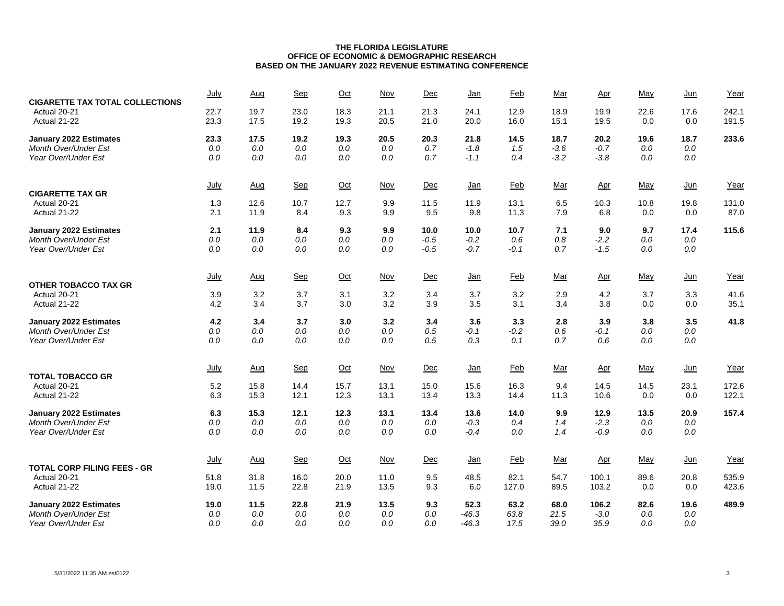| <b>CIGARETTE TAX TOTAL COLLECTIONS</b>  | July         | Aug          | Sep          | $Oct$        | Nov          | Dec          | <u>Jan</u>   | Feb          | Mar          | Apr          | May         | $Jun$       | Year           |
|-----------------------------------------|--------------|--------------|--------------|--------------|--------------|--------------|--------------|--------------|--------------|--------------|-------------|-------------|----------------|
| Actual 20-21<br>Actual 21-22            | 22.7<br>23.3 | 19.7<br>17.5 | 23.0<br>19.2 | 18.3<br>19.3 | 21.1<br>20.5 | 21.3<br>21.0 | 24.1<br>20.0 | 12.9<br>16.0 | 18.9<br>15.1 | 19.9<br>19.5 | 22.6<br>0.0 | 17.6<br>0.0 | 242.1<br>191.5 |
| <b>January 2022 Estimates</b>           | 23.3         | 17.5         | 19.2         | 19.3         | 20.5         | 20.3         | 21.8         | 14.5         | 18.7         | 20.2         | 19.6        | 18.7        | 233.6          |
| <b>Month Over/Under Est</b>             | $0.0$        | 0.0          | $0.0$        | 0.0          | $0.0$        | 0.7          | $-1.8$       | 1.5          | $-3.6$       | $-0.7$       | $0.0\,$     | 0.0         |                |
| Year Over/Under Est                     | $0.0$        | 0.0          | 0.0          | 0.0          | $0.0$        | 0.7          | $-1.1$       | 0.4          | $-3.2$       | $-3.8$       | 0.0         | 0.0         |                |
|                                         | July         | Aug          | Sep          | $Oct$        | <b>Nov</b>   | Dec          | <u>Jan</u>   | <b>Feb</b>   | <u>Mar</u>   | Apr          | May         | $Jun$       | Year           |
| <b>CIGARETTE TAX GR</b><br>Actual 20-21 | 1.3          | 12.6         | 10.7         | 12.7         | 9.9          | 11.5         | 11.9         | 13.1         | 6.5          | 10.3         | 10.8        | 19.8        | 131.0          |
| Actual 21-22                            | 2.1          | 11.9         | 8.4          | 9.3          | 9.9          | 9.5          | 9.8          | 11.3         | 7.9          | 6.8          | 0.0         | 0.0         | 87.0           |
| January 2022 Estimates                  | 2.1          | 11.9         | 8.4          | 9.3          | 9.9          | 10.0         | 10.0         | 10.7         | 7.1          | 9.0          | 9.7         | 17.4        | 115.6          |
| Month Over/Under Est                    | $0.0$        | $0.0\,$      | $0.0$        | 0.0          | $0.0$        | $-0.5$       | $-0.2$       | 0.6          | 0.8          | $-2.2$       | 0.0         | 0.0         |                |
| Year Over/Under Est                     | 0.0          | 0.0          | 0.0          | 0.0          | 0.0          | $-0.5$       | $-0.7$       | $-0.1$       | 0.7          | $-1.5$       | 0.0         | $0.0\,$     |                |
|                                         | <u>July</u>  | Aug          | Sep          | $Oct$        | <u>Nov</u>   | Dec          | <u>Jan</u>   | <b>Feb</b>   | <u>Mar</u>   | <u>Apr</u>   | <u>May</u>  | $Jun$       | Year           |
| <b>OTHER TOBACCO TAX GR</b>             |              |              |              |              |              |              |              |              |              |              |             |             |                |
| Actual 20-21                            | 3.9<br>4.2   | 3.2<br>3.4   | 3.7<br>3.7   | 3.1<br>3.0   | 3.2<br>3.2   | 3.4<br>3.9   | 3.7<br>3.5   | 3.2<br>3.1   | 2.9<br>3.4   | 4.2<br>3.8   | 3.7<br>0.0  | 3.3<br>0.0  | 41.6<br>35.1   |
| Actual 21-22                            |              |              |              |              |              |              |              |              |              |              |             |             |                |
| January 2022 Estimates                  | 4.2          | 3.4          | 3.7          | 3.0          | 3.2          | 3.4          | 3.6          | 3.3          | 2.8          | 3.9          | 3.8         | 3.5         | 41.8           |
| Month Over/Under Est                    | 0.0          | 0.0          | 0.0          | 0.0          | 0.0          | 0.5          | $-0.1$       | $-0.2$       | 0.6          | $-0.1$       | 0.0         | 0.0         |                |
| Year Over/Under Est                     | 0.0          | 0.0          | 0.0          | 0.0          | 0.0          | 0.5          | 0.3          | 0.1          | 0.7          | 0.6          | 0.0         | 0.0         |                |
|                                         | July         | Aug          | Sep          | $Oct$        | $Nov$        | Dec          | <u>Jan</u>   | <b>Feb</b>   | Mar          | <u>Apr</u>   | May         | $Jun$       | Year           |
| <b>TOTAL TOBACCO GR</b><br>Actual 20-21 | 5.2          | 15.8         | 14.4         | 15.7         | 13.1         | 15.0         | 15.6         | 16.3         | 9.4          |              |             | 23.1        |                |
| Actual 21-22                            | 6.3          | 15.3         | 12.1         | 12.3         | 13.1         | 13.4         | 13.3         | 14.4         | 11.3         | 14.5<br>10.6 | 14.5<br>0.0 | 0.0         | 172.6<br>122.1 |
|                                         |              |              |              |              |              |              |              |              |              |              |             |             |                |
| January 2022 Estimates                  | 6.3          | 15.3         | 12.1         | 12.3         | 13.1         | 13.4         | 13.6         | 14.0         | 9.9          | 12.9         | 13.5        | 20.9        | 157.4          |
| Month Over/Under Est                    | 0.0          | 0.0          | 0.0          | 0.0          | 0.0          | 0.0          | $-0.3$       | 0.4          | 1.4          | $-2.3$       | 0.0         | 0.0         |                |
| Year Over/Under Est                     | 0.0          | 0.0          | 0.0          | 0.0          | 0.0          | 0.0          | $-0.4$       | 0.0          | 1.4          | $-0.9$       | 0.0         | 0.0         |                |
|                                         | July         | Aug          | Sep          | $Oct$        | <b>Nov</b>   | Dec          | <u>Jan</u>   | <b>Feb</b>   | Mar          | Apr          | May         | $Jun$       | Year           |
| <b>TOTAL CORP FILING FEES - GR</b>      |              |              |              |              |              |              |              |              |              |              |             |             |                |
| Actual 20-21                            | 51.8         | 31.8         | 16.0         | 20.0         | 11.0         | 9.5          | 48.5         | 82.1         | 54.7         | 100.1        | 89.6        | 20.8        | 535.9          |
| Actual 21-22                            | 19.0         | 11.5         | 22.8         | 21.9         | 13.5         | 9.3          | 6.0          | 127.0        | 89.5         | 103.2        | 0.0         | 0.0         | 423.6          |
| <b>January 2022 Estimates</b>           | 19.0         | 11.5         | 22.8         | 21.9         | 13.5         | 9.3          | 52.3         | 63.2         | 68.0         | 106.2        | 82.6        | 19.6        | 489.9          |
| <b>Month Over/Under Est</b>             | 0.0          | 0.0          | 0.0          | 0.0          | $0.0$        | 0.0          | $-46.3$      | 63.8         | 21.5         | $-3.0$       | 0.0         | 0.0         |                |
| Year Over/Under Est                     | 0.0          | 0.0          | 0.0          | 0.0          | 0.0          | 0.0          | $-46.3$      | 17.5         | 39.0         | 35.9         | 0.0         | 0.0         |                |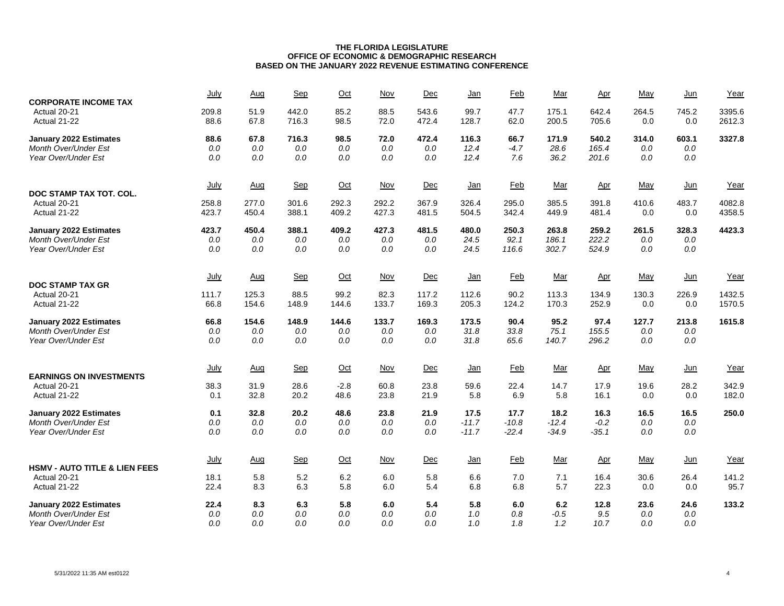| <b>CORPORATE INCOME TAX</b>                        | July           | Aug            | Sep            | Oct            | <b>Nov</b>     | Dec            | <u>Jan</u>     | Feb            | Mar            | $_{\Delta \text{pr}}$ | May          | $Jun$        | Year             |
|----------------------------------------------------|----------------|----------------|----------------|----------------|----------------|----------------|----------------|----------------|----------------|-----------------------|--------------|--------------|------------------|
| Actual 20-21<br>Actual 21-22                       | 209.8<br>88.6  | 51.9<br>67.8   | 442.0<br>716.3 | 85.2<br>98.5   | 88.5<br>72.0   | 543.6<br>472.4 | 99.7<br>128.7  | 47.7<br>62.0   | 175.1<br>200.5 | 642.4<br>705.6        | 264.5<br>0.0 | 745.2<br>0.0 | 3395.6<br>2612.3 |
| <b>January 2022 Estimates</b>                      | 88.6           | 67.8           | 716.3          | 98.5           | 72.0           | 472.4          | 116.3          | 66.7           | 171.9          | 540.2                 | 314.0        | 603.1        | 3327.8           |
| <b>Month Over/Under Est</b>                        | $0.0$          | 0.0            | 0.0            | 0.0            | 0.0            | 0.0            | 12.4           | $-4.7$         | 28.6           | 165.4                 | 0.0          | 0.0          |                  |
| Year Over/Under Est                                | $0.0$          | 0.0            | 0.0            | 0.0            | 0.0            | 0.0            | 12.4           | 7.6            | 36.2           | 201.6                 | 0.0          | 0.0          |                  |
|                                                    | July           | Aug            | Sep            | $Oct$          | $Nov$          | Dec            | <u>Jan</u>     | <b>Feb</b>     | <u>Mar</u>     | Apr                   | May          | $Jun$        | Year             |
| DOC STAMP TAX TOT. COL.                            |                |                |                |                |                |                |                |                |                |                       |              |              |                  |
| Actual 20-21<br>Actual 21-22                       | 258.8<br>423.7 | 277.0<br>450.4 | 301.6<br>388.1 | 292.3<br>409.2 | 292.2<br>427.3 | 367.9<br>481.5 | 326.4<br>504.5 | 295.0<br>342.4 | 385.5<br>449.9 | 391.8<br>481.4        | 410.6<br>0.0 | 483.7<br>0.0 | 4082.8<br>4358.5 |
| January 2022 Estimates                             | 423.7          | 450.4          | 388.1          | 409.2          | 427.3          | 481.5          | 480.0          | 250.3          | 263.8          | 259.2                 | 261.5        | 328.3        | 4423.3           |
| <b>Month Over/Under Est</b>                        | $0.0$          | 0.0            | 0.0            | 0.0            | 0.0            | 0.0            | 24.5           | 92.1           | 186.1          | 222.2                 | 0.0          | 0.0          |                  |
| Year Over/Under Est                                | $0.0$          | 0.0            | 0.0            | 0.0            | 0.0            | 0.0            | 24.5           | 116.6          | 302.7          | 524.9                 | 0.0          | 0.0          |                  |
|                                                    | July           | Aug            | Sep            | $Oct$          | $Nov$          | Dec            | $Jan$          | <b>Feb</b>     | Mar            | Apr                   | May          | $Jun$        | Year             |
| <b>DOC STAMP TAX GR</b>                            |                |                |                |                |                |                |                |                |                |                       |              |              |                  |
| Actual 20-21<br>Actual 21-22                       | 111.7<br>66.8  | 125.3<br>154.6 | 88.5<br>148.9  | 99.2<br>144.6  | 82.3<br>133.7  | 117.2<br>169.3 | 112.6<br>205.3 | 90.2<br>124.2  | 113.3<br>170.3 | 134.9<br>252.9        | 130.3<br>0.0 | 226.9<br>0.0 | 1432.5<br>1570.5 |
| January 2022 Estimates                             | 66.8           | 154.6          | 148.9          | 144.6          | 133.7          | 169.3          | 173.5          | 90.4           | 95.2           | 97.4                  | 127.7        | 213.8        | 1615.8           |
| <b>Month Over/Under Est</b>                        | $0.0$          | 0.0            | 0.0            | 0.0            | $0.0$          | 0.0            | 31.8           | 33.8           | 75.1           | 155.5                 | $0.0\,$      | 0.0          |                  |
| Year Over/Under Est                                | 0.0            | 0.0            | 0.0            | 0.0            | 0.0            | 0.0            | 31.8           | 65.6           | 140.7          | 296.2                 | 0.0          | 0.0          |                  |
| <b>EARNINGS ON INVESTMENTS</b>                     | July           | Aug            | Sep            | $Oct$          | $Nov$          | Dec            | <u>Jan</u>     | <b>Feb</b>     | Mar            | Apr                   | May          | $Jun$        | Year             |
| Actual 20-21                                       | 38.3           | 31.9           | 28.6           | $-2.8$         | 60.8           | 23.8           | 59.6           | 22.4           | 14.7           | 17.9                  | 19.6         | 28.2         | 342.9            |
| Actual 21-22                                       | 0.1            | 32.8           | 20.2           | 48.6           | 23.8           | 21.9           | 5.8            | 6.9            | 5.8            | 16.1                  | 0.0          | 0.0          | 182.0            |
| January 2022 Estimates                             | 0.1            | 32.8           | 20.2           | 48.6           | 23.8           | 21.9           | 17.5           | 17.7           | 18.2           | 16.3                  | 16.5         | 16.5         | 250.0            |
| Month Over/Under Est                               | $0.0$          | 0.0            | $0.0$          | 0.0            | $0.0$          | 0.0            | $-11.7$        | $-10.8$        | $-12.4$        | $-0.2$                | 0.0          | 0.0          |                  |
| Year Over/Under Est                                | 0.0            | 0.0            | 0.0            | 0.0            | 0.0            | 0.0            | $-11.7$        | $-22.4$        | $-34.9$        | $-35.1$               | 0.0          | 0.0          |                  |
|                                                    | July           | Aug            | $Sep$          | $Oct$          | <b>Nov</b>     | Dec            | <u>Jan</u>     | <b>Feb</b>     | Mar            | Apr                   | May          | $Jun$        | Year             |
| <b>HSMV - AUTO TITLE &amp; LIEN FEES</b>           |                |                |                |                |                |                |                |                |                |                       |              |              |                  |
| Actual 20-21                                       | 18.1           | 5.8            | 5.2            | 6.2            | 6.0            | 5.8            | 6.6            | 7.0            | 7.1            | 16.4                  | 30.6         | 26.4         | 141.2            |
| Actual 21-22                                       | 22.4           | 8.3            | 6.3            | 5.8            | 6.0            | 5.4            | 6.8            | 6.8            | 5.7            | 22.3                  | 0.0          | 0.0          | 95.7             |
| January 2022 Estimates                             | 22.4           | 8.3            | 6.3            | 5.8            | 6.0            | 5.4            | 5.8            | 6.0            | 6.2            | 12.8                  | 23.6         | 24.6         | 133.2            |
| <b>Month Over/Under Est</b><br>Year Over/Under Est | $0.0$<br>0.0   | 0.0<br>0.0     | 0.0<br>0.0     | 0.0<br>0.0     | 0.0<br>0.0     | 0.0<br>0.0     | 1.0<br>1.0     | 0.8<br>1.8     | $-0.5$<br>1.2  | 9.5<br>10.7           | 0.0<br>0.0   | 0.0<br>0.0   |                  |
|                                                    |                |                |                |                |                |                |                |                |                |                       |              |              |                  |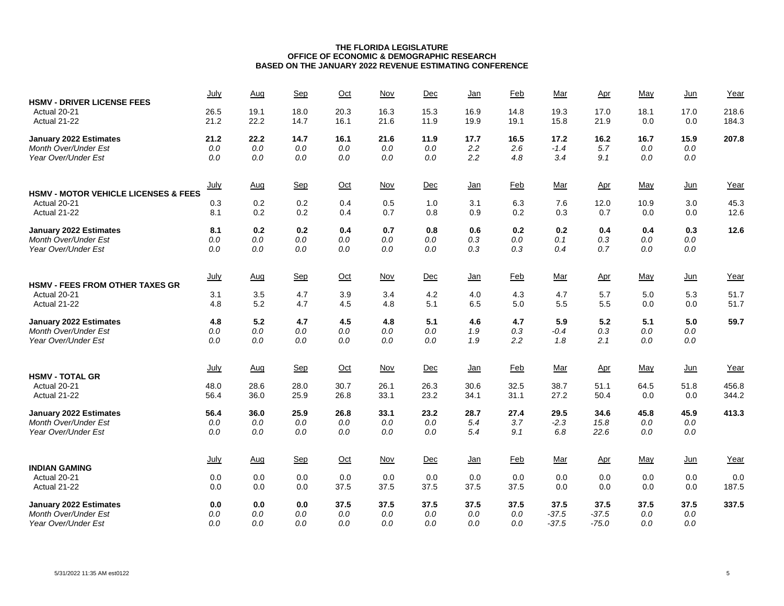| <b>HSMV - DRIVER LICENSE FEES</b>                               | July         | Aug          | Sep          | Oct          | Nov          | Dec          | <u>Jan</u>   | Feb          | Mar          | Apr          | May         | $Jun$       | Year           |
|-----------------------------------------------------------------|--------------|--------------|--------------|--------------|--------------|--------------|--------------|--------------|--------------|--------------|-------------|-------------|----------------|
| Actual 20-21<br>Actual 21-22                                    | 26.5<br>21.2 | 19.1<br>22.2 | 18.0<br>14.7 | 20.3<br>16.1 | 16.3<br>21.6 | 15.3<br>11.9 | 16.9<br>19.9 | 14.8<br>19.1 | 19.3<br>15.8 | 17.0<br>21.9 | 18.1<br>0.0 | 17.0<br>0.0 | 218.6<br>184.3 |
| <b>January 2022 Estimates</b>                                   | 21.2         | 22.2         | 14.7         | 16.1         | 21.6         | 11.9         | 17.7         | 16.5         | 17.2         | 16.2         | 16.7        | 15.9        | 207.8          |
| Month Over/Under Est                                            | $0.0\,$      | 0.0          | 0.0          | 0.0          | 0.0          | 0.0          | 2.2          | 2.6          | $-1.4$       | 5.7          | 0.0         | $0.0\,$     |                |
| Year Over/Under Est                                             | 0.0          | 0.0          | 0.0          | 0.0          | 0.0          | 0.0          | 2.2          | 4.8          | 3.4          | 9.1          | 0.0         | $0.0\,$     |                |
|                                                                 | July         | Aug          | Sep          | $Oct$        | <b>Nov</b>   | Dec          | <u>Jan</u>   | Feb          | <u>Mar</u>   | Apr          | May         | $Jun$       | Year           |
| <b>HSMV - MOTOR VEHICLE LICENSES &amp; FEES</b><br>Actual 20-21 | 0.3          | 0.2          | 0.2          | 0.4          | 0.5          | 1.0          | 3.1          | 6.3          | 7.6          | 12.0         | 10.9        | 3.0         | 45.3           |
| Actual 21-22                                                    | 8.1          | 0.2          | 0.2          | 0.4          | 0.7          | 0.8          | 0.9          | 0.2          | 0.3          | 0.7          | 0.0         | 0.0         | 12.6           |
| <b>January 2022 Estimates</b>                                   | 8.1          | 0.2          | 0.2          | 0.4          | 0.7          | 0.8          | 0.6          | 0.2          | 0.2          | 0.4          | 0.4         | 0.3         | 12.6           |
| Month Over/Under Est                                            | 0.0          | $0.0\,$      | $0.0\,$      | 0.0          | $0.0\,$      | 0.0          | 0.3          | 0.0          | 0.1          | 0.3          | 0.0         | $0.0\,$     |                |
| Year Over/Under Est                                             | 0.0          | 0.0          | 0.0          | 0.0          | 0.0          | 0.0          | 0.3          | 0.3          | 0.4          | 0.7          | 0.0         | 0.0         |                |
|                                                                 | <u>July</u>  | Aug          | Sep          | $Oct$        | <u>Nov</u>   | Dec          | <u>Jan</u>   | <b>Feb</b>   | <u>Mar</u>   | <u>Apr</u>   | <u>May</u>  | <u>Jun</u>  | Year           |
| <b>HSMV - FEES FROM OTHER TAXES GR</b>                          | 3.1          |              |              |              |              |              |              | 4.3          |              |              | 5.0         |             | 51.7           |
| Actual 20-21<br>Actual 21-22                                    | 4.8          | 3.5<br>5.2   | 4.7<br>4.7   | 3.9<br>4.5   | 3.4<br>4.8   | 4.2<br>5.1   | 4.0<br>6.5   | 5.0          | 4.7<br>5.5   | 5.7<br>5.5   | 0.0         | 5.3<br>0.0  | 51.7           |
|                                                                 |              |              |              |              |              |              |              |              |              |              |             |             |                |
| <b>January 2022 Estimates</b>                                   | 4.8          | 5.2          | 4.7          | 4.5          | 4.8          | 5.1          | 4.6          | 4.7          | 5.9          | 5.2          | 5.1         | 5.0         | 59.7           |
| Month Over/Under Est                                            | 0.0          | 0.0          | 0.0          | 0.0          | 0.0          | 0.0          | 1.9          | 0.3          | $-0.4$       | 0.3          | 0.0         | 0.0         |                |
| Year Over/Under Est                                             | 0.0          | 0.0          | 0.0          | 0.0          | 0.0          | 0.0          | 1.9          | 2.2          | 1.8          | 2.1          | 0.0         | 0.0         |                |
|                                                                 | <u>July</u>  | Aug          | Sep          | $Oct$        | <b>Nov</b>   | Dec          | <u>Jan</u>   | <b>Feb</b>   | <u>Mar</u>   | Apr          | May         | $Jun$       | Year           |
| <b>HSMV - TOTAL GR</b>                                          |              |              |              |              |              |              |              |              |              |              |             |             |                |
| Actual 20-21<br>Actual 21-22                                    | 48.0<br>56.4 | 28.6<br>36.0 | 28.0<br>25.9 | 30.7<br>26.8 | 26.1<br>33.1 | 26.3<br>23.2 | 30.6<br>34.1 | 32.5<br>31.1 | 38.7<br>27.2 | 51.1<br>50.4 | 64.5<br>0.0 | 51.8<br>0.0 | 456.8<br>344.2 |
|                                                                 |              |              |              |              |              |              |              |              |              |              |             |             |                |
| <b>January 2022 Estimates</b>                                   | 56.4         | 36.0         | 25.9         | 26.8         | 33.1         | 23.2         | 28.7         | 27.4         | 29.5         | 34.6         | 45.8        | 45.9        | 413.3          |
| Month Over/Under Est                                            | 0.0          | 0.0          | 0.0          | 0.0          | 0.0          | 0.0          | 5.4          | 3.7          | $-2.3$       | 15.8         | 0.0         | $0.0\,$     |                |
| Year Over/Under Est                                             | 0.0          | 0.0          | 0.0          | 0.0          | 0.0          | 0.0          | 5.4          | 9.1          | 6.8          | 22.6         | 0.0         | 0.0         |                |
|                                                                 | <u>July</u>  | Aug          | Sep          | $Oct$        | Nov          | Dec          | <u>Jan</u>   | <b>Feb</b>   | Mar          | Apr          | May         | $Jun$       | Year           |
| <b>INDIAN GAMING</b>                                            |              |              |              |              |              |              |              |              |              |              |             |             |                |
| Actual 20-21                                                    | 0.0<br>0.0   | 0.0          | 0.0          | 0.0          | 0.0          | 0.0          | 0.0          | 0.0<br>37.5  | 0.0<br>0.0   | 0.0          | 0.0         | 0.0         | 0.0            |
| Actual 21-22                                                    |              | 0.0          | 0.0          | 37.5         | 37.5         | 37.5         | 37.5         |              |              | 0.0          | 0.0         | 0.0         | 187.5          |
| <b>January 2022 Estimates</b>                                   | 0.0          | 0.0          | 0.0          | 37.5         | 37.5         | 37.5         | 37.5         | 37.5         | 37.5         | 37.5         | 37.5        | 37.5        | 337.5          |
| Month Over/Under Est                                            | 0.0          | 0.0          | 0.0          | 0.0          | 0.0          | 0.0          | 0.0          | 0.0          | $-37.5$      | $-37.5$      | 0.0         | 0.0         |                |
| Year Over/Under Est                                             | 0.0          | 0.0          | 0.0          | 0.0          | 0.0          | 0.0          | 0.0          | 0.0          | $-37.5$      | $-75.0$      | 0.0         | 0.0         |                |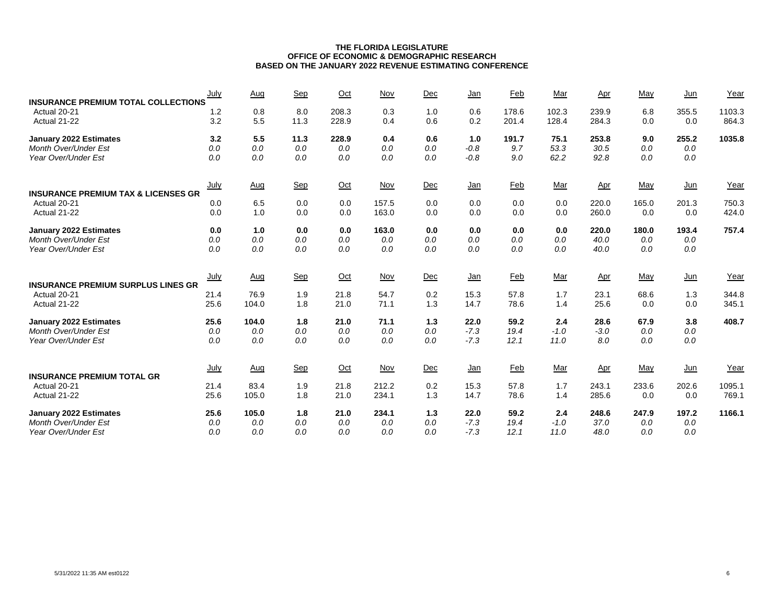| <b>INSURANCE PREMIUM TOTAL COLLECTIONS</b>                     | July        | Aug        | Sep         | Oct            | Nov        | Dec        | Jan        | Feb            | Mar            | <u>Apr</u>     | May        | Jun          | Year            |
|----------------------------------------------------------------|-------------|------------|-------------|----------------|------------|------------|------------|----------------|----------------|----------------|------------|--------------|-----------------|
| Actual 20-21<br>Actual 21-22                                   | 1.2<br>3.2  | 0.8<br>5.5 | 8.0<br>11.3 | 208.3<br>228.9 | 0.3<br>0.4 | 1.0<br>0.6 | 0.6<br>0.2 | 178.6<br>201.4 | 102.3<br>128.4 | 239.9<br>284.3 | 6.8<br>0.0 | 355.5<br>0.0 | 1103.3<br>864.3 |
| <b>January 2022 Estimates</b>                                  | 3.2         | 5.5        | 11.3        | 228.9          | 0.4        | 0.6        | 1.0        | 191.7          | 75.1           | 253.8          | 9.0        | 255.2        | 1035.8          |
| <b>Month Over/Under Est</b>                                    | 0.0         | 0.0        | 0.0         | 0.0            | 0.0        | 0.0        | $-0.8$     | 9.7            | 53.3           | 30.5           | 0.0        | 0.0          |                 |
| Year Over/Under Est                                            | 0.0         | 0.0        | 0.0         | 0.0            | 0.0        | 0.0        | $-0.8$     | 9.0            | 62.2           | 92.8           | 0.0        | 0.0          |                 |
|                                                                | <u>July</u> | <u>Aug</u> | Sep         | $Oct$          | Nov        | Dec        | $Jan$      | <b>Feb</b>     | <u>Mar</u>     | Apr            | May        | $Jun$        | Year            |
| <b>INSURANCE PREMIUM TAX &amp; LICENSES GR</b><br>Actual 20-21 | 0.0         | 6.5        | 0.0         | 0.0            | 157.5      | 0.0        | 0.0        | 0.0            | 0.0            | 220.0          | 165.0      | 201.3        | 750.3           |
| Actual 21-22                                                   | 0.0         | 1.0        | 0.0         | 0.0            | 163.0      | 0.0        | 0.0        | 0.0            | 0.0            | 260.0          | 0.0        | 0.0          | 424.0           |
| <b>January 2022 Estimates</b>                                  | 0.0         | 1.0        | 0.0         | 0.0            | 163.0      | 0.0        | 0.0        | 0.0            | 0.0            | 220.0          | 180.0      | 193.4        | 757.4           |
| Month Over/Under Est                                           | 0.0         | 0.0        | 0.0         | 0.0            | 0.0        | 0.0        | 0.0        | 0.0            | 0.0            | 40.0           | 0.0        | 0.0          |                 |
| Year Over/Under Est                                            | 0.0         | 0.0        | 0.0         | 0.0            | 0.0        | 0.0        | 0.0        | 0.0            | 0.0            | 40.0           | 0.0        | 0.0          |                 |
| <b>INSURANCE PREMIUM SURPLUS LINES GR</b>                      | <u>July</u> | <u>Aug</u> | Sep         | $Oct$          | <b>Nov</b> | Dec        | <u>Jan</u> | Feb            | <u>Mar</u>     | <u>Apr</u>     | May        | $Jun$        | Year            |
| Actual 20-21                                                   | 21.4        | 76.9       | 1.9         | 21.8           | 54.7       | 0.2        | 15.3       | 57.8           | 1.7            | 23.1           | 68.6       | 1.3          | 344.8           |
| Actual 21-22                                                   | 25.6        | 104.0      | 1.8         | 21.0           | 71.1       | 1.3        | 14.7       | 78.6           | 1.4            | 25.6           | 0.0        | 0.0          | 345.1           |
| <b>January 2022 Estimates</b>                                  | 25.6        | 104.0      | 1.8         | 21.0           | 71.1       | 1.3        | 22.0       | 59.2           | 2.4            | 28.6           | 67.9       | 3.8          | 408.7           |
| Month Over/Under Est                                           | 0.0         | 0.0        | 0.0         | 0.0            | 0.0        | 0.0        | $-7.3$     | 19.4           | $-1.0$         | $-3.0$         | 0.0        | 0.0          |                 |
| Year Over/Under Est                                            | 0.0         | 0.0        | 0.0         | 0.0            | 0.0        | 0.0        | $-7.3$     | 12.1           | 11.0           | 8.0            | 0.0        | 0.0          |                 |
| <b>INSURANCE PREMIUM TOTAL GR</b>                              | <b>July</b> | Aug        | Sep         | $Oct$          | <b>Nov</b> | Dec        | $Jan$      | <b>Feb</b>     | <u>Mar</u>     | <u>Apr</u>     | May        | $Jun$        | Year            |
| Actual 20-21                                                   | 21.4        | 83.4       | 1.9         | 21.8           | 212.2      | 0.2        | 15.3       | 57.8           | 1.7            | 243.1          | 233.6      | 202.6        | 1095.1          |
| Actual 21-22                                                   | 25.6        | 105.0      | 1.8         | 21.0           | 234.1      | 1.3        | 14.7       | 78.6           | 1.4            | 285.6          | 0.0        | 0.0          | 769.1           |
| <b>January 2022 Estimates</b>                                  | 25.6        | 105.0      | 1.8         | 21.0           | 234.1      | 1.3        | 22.0       | 59.2           | 2.4            | 248.6          | 247.9      | 197.2        | 1166.1          |
| <b>Month Over/Under Est</b>                                    | 0.0         | 0.0        | 0.0         | 0.0            | 0.0        | 0.0        | $-7.3$     | 19.4           | $-1.0$         | 37.0           | 0.0        | 0.0          |                 |
| Year Over/Under Est                                            | 0.0         | 0.0        | 0.0         | 0.0            | 0.0        | 0.0        | $-7.3$     | 12.1           | 11.0           | 48.0           | 0.0        | 0.0          |                 |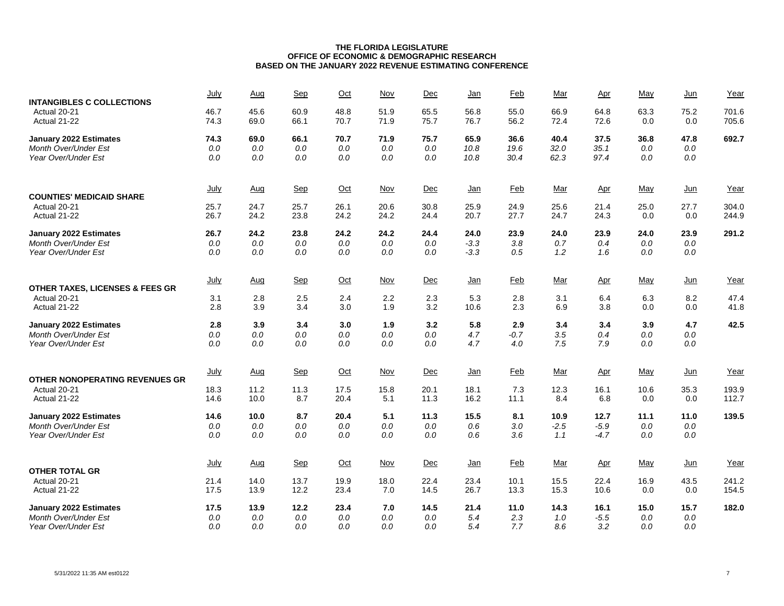| <b>INTANGIBLES C COLLECTIONS</b>           | July         | Aug          | Sep          | Oct          | <b>Nov</b>   | Dec          | <u>Jan</u>   | <b>Feb</b>   | Mar          | <u>Apr</u>   | May         | <u>Jun</u>  | Year           |
|--------------------------------------------|--------------|--------------|--------------|--------------|--------------|--------------|--------------|--------------|--------------|--------------|-------------|-------------|----------------|
| Actual 20-21<br>Actual 21-22               | 46.7<br>74.3 | 45.6<br>69.0 | 60.9<br>66.1 | 48.8<br>70.7 | 51.9<br>71.9 | 65.5<br>75.7 | 56.8<br>76.7 | 55.0<br>56.2 | 66.9<br>72.4 | 64.8<br>72.6 | 63.3<br>0.0 | 75.2<br>0.0 | 701.6<br>705.6 |
| <b>January 2022 Estimates</b>              | 74.3         | 69.0         | 66.1         | 70.7         | 71.9         | 75.7         | 65.9         | 36.6         | 40.4         | 37.5         | 36.8        | 47.8        | 692.7          |
| Month Over/Under Est                       | 0.0          | 0.0          | 0.0          | 0.0          | 0.0          | 0.0          | 10.8         | 19.6         | 32.0         | 35.1         | 0.0         | 0.0         |                |
| Year Over/Under Est                        | 0.0          | 0.0          | 0.0          | 0.0          | 0.0          | 0.0          | 10.8         | 30.4         | 62.3         | 97.4         | 0.0         | 0.0         |                |
|                                            | <u>July</u>  | <b>Aug</b>   | Sep          | $Oct$        | <u>Nov</u>   | Dec          | $Jan$        | <b>Feb</b>   | Mar          | <u>Apr</u>   | <u>May</u>  | $Jun$       | Year           |
| <b>COUNTIES' MEDICAID SHARE</b>            |              |              |              |              |              |              |              |              |              |              |             |             |                |
| Actual 20-21<br>Actual 21-22               | 25.7<br>26.7 | 24.7<br>24.2 | 25.7<br>23.8 | 26.1<br>24.2 | 20.6<br>24.2 | 30.8<br>24.4 | 25.9<br>20.7 | 24.9<br>27.7 | 25.6<br>24.7 | 21.4<br>24.3 | 25.0<br>0.0 | 27.7<br>0.0 | 304.0<br>244.9 |
| <b>January 2022 Estimates</b>              | 26.7         | 24.2         | 23.8         | 24.2         | 24.2         | 24.4         | 24.0         | 23.9         | 24.0         | 23.9         | 24.0        | 23.9        | 291.2          |
| <b>Month Over/Under Est</b>                | 0.0          | 0.0          | 0.0          | 0.0          | 0.0          | 0.0          | $-3.3$       | 3.8          | 0.7          | 0.4          | 0.0         | 0.0         |                |
| Year Over/Under Est                        | 0.0          | 0.0          | 0.0          | 0.0          | 0.0          | 0.0          | $-3.3$       | 0.5          | 1.2          | 1.6          | 0.0         | 0.0         |                |
|                                            | <u>July</u>  | <u>Aug</u>   | Sep          | $Oct$        | Nov          | Dec          | <u>Jan</u>   | <b>Feb</b>   | <u>Mar</u>   | <u>Apr</u>   | May         | $Jun$       | Year           |
| <b>OTHER TAXES, LICENSES &amp; FEES GR</b> |              |              |              |              |              |              |              |              |              |              |             |             |                |
| Actual 20-21<br>Actual 21-22               | 3.1<br>2.8   | 2.8          | 2.5<br>3.4   | 2.4<br>3.0   | 2.2          | 2.3          | 5.3          | 2.8<br>2.3   | 3.1          | 6.4          | 6.3<br>0.0  | 8.2<br>0.0  | 47.4           |
|                                            |              | 3.9          |              |              | 1.9          | 3.2          | 10.6         |              | 6.9          | 3.8          |             |             | 41.8           |
| <b>January 2022 Estimates</b>              | 2.8          | 3.9          | 3.4          | 3.0          | 1.9          | 3.2          | 5.8          | 2.9          | 3.4          | 3.4          | 3.9         | 4.7         | 42.5           |
| Month Over/Under Est                       | 0.0          | 0.0          | 0.0          | 0.0          | 0.0          | $0.0\,$      | 4.7          | $-0.7$       | 3.5          | 0.4          | 0.0         | 0.0         |                |
| Year Over/Under Est                        | 0.0          | 0.0          | 0.0          | 0.0          | 0.0          | 0.0          | 4.7          | 4.0          | 7.5          | 7.9          | 0.0         | 0.0         |                |
| OTHER NONOPERATING REVENUES GR             | July         | Aug          | Sep          | $Oct$        | <b>Nov</b>   | Dec          | <u>Jan</u>   | <b>Feb</b>   | <u>Mar</u>   | <u>Apr</u>   | May         | $Jun$       | Year           |
| Actual 20-21                               | 18.3         | 11.2         | 11.3         | 17.5         | 15.8         | 20.1         | 18.1         | 7.3          | 12.3         | 16.1         | 10.6        | 35.3        | 193.9          |
| Actual 21-22                               | 14.6         | 10.0         | 8.7          | 20.4         | 5.1          | 11.3         | 16.2         | 11.1         | 8.4          | 6.8          | 0.0         | 0.0         | 112.7          |
| <b>January 2022 Estimates</b>              | 14.6         | 10.0         | 8.7          | 20.4         | 5.1          | 11.3         | 15.5         | 8.1          | 10.9         | 12.7         | 11.1        | 11.0        | 139.5          |
| Month Over/Under Est                       | 0.0          | 0.0          | 0.0          | 0.0          | 0.0          | 0.0          | 0.6          | 3.0          | $-2.5$       | $-5.9$       | 0.0         | 0.0         |                |
| Year Over/Under Est                        | 0.0          | 0.0          | 0.0          | 0.0          | 0.0          | 0.0          | 0.6          | 3.6          | 1.1          | $-4.7$       | 0.0         | 0.0         |                |
|                                            | <u>July</u>  | Aug          | <b>Sep</b>   | $Oct$        | <b>Nov</b>   | <u>Dec</u>   | <u>Jan</u>   | <b>Feb</b>   | Mar          | <u>Apr</u>   | May         | $Jun$       | Year           |
| <b>OTHER TOTAL GR</b>                      |              |              |              |              |              |              |              |              |              |              |             |             |                |
| Actual 20-21                               | 21.4         | 14.0         | 13.7         | 19.9         | 18.0         | 22.4         | 23.4         | 10.1         | 15.5         | 22.4         | 16.9        | 43.5        | 241.2          |
| Actual 21-22                               | 17.5         | 13.9         | 12.2         | 23.4         | 7.0          | 14.5         | 26.7         | 13.3         | 15.3         | 10.6         | 0.0         | 0.0         | 154.5          |
| <b>January 2022 Estimates</b>              | 17.5         | 13.9         | 12.2         | 23.4         | 7.0          | 14.5         | 21.4         | 11.0         | 14.3         | 16.1         | 15.0        | 15.7        | 182.0          |
| Month Over/Under Est                       | 0.0          | 0.0          | 0.0          | 0.0          | 0.0          | 0.0          | 5.4          | 2.3          | 1.0          | $-5.5$       | 0.0         | 0.0         |                |
| Year Over/Under Est                        | 0.0          | 0.0          | 0.0          | 0.0          | 0.0          | 0.0          | 5.4          | 7.7          | 8.6          | 3.2          | 0.0         | 0.0         |                |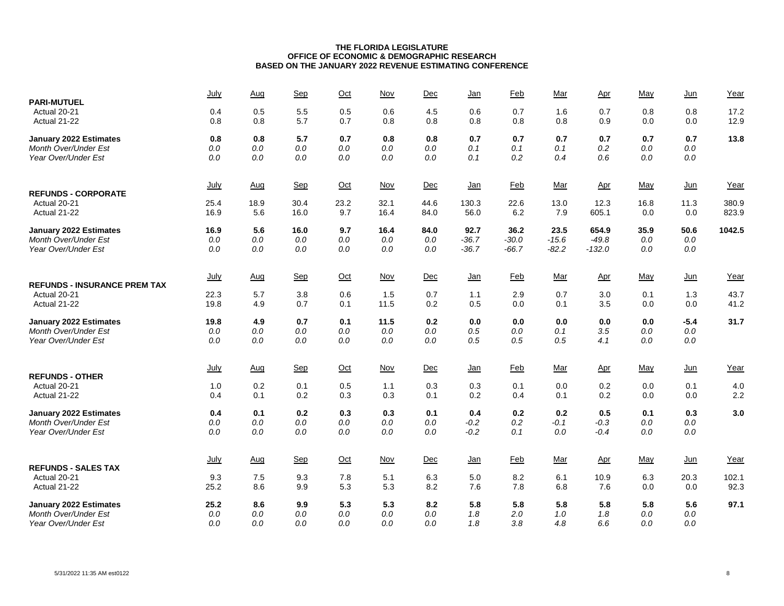| <b>PARI-MUTUEL</b>                                  | July         | Aug        | Sep        | $Oct$      | Nov        | Dec        | <u>Jan</u> | Feb        | Mar        | $_{\Delta \text{pr}}$ | May        | Jun        | Year           |
|-----------------------------------------------------|--------------|------------|------------|------------|------------|------------|------------|------------|------------|-----------------------|------------|------------|----------------|
| Actual 20-21                                        | 0.4          | 0.5        | 5.5        | 0.5        | 0.6        | 4.5        | 0.6        | 0.7        | 1.6        | 0.7                   | 0.8        | 0.8        | 17.2           |
| Actual 21-22                                        | 0.8          | 0.8        | 5.7        | 0.7        | 0.8        | 0.8        | 0.8        | 0.8        | 0.8        | 0.9                   | 0.0        | 0.0        | 12.9           |
| <b>January 2022 Estimates</b>                       | 0.8          | 0.8        | 5.7        | 0.7        | 0.8        | 0.8        | 0.7        | 0.7        | 0.7        | 0.7                   | 0.7        | 0.7        | 13.8           |
| Month Over/Under Est                                | 0.0          | 0.0        | 0.0        | 0.0        | 0.0        | 0.0        | 0.1        | 0.1        | 0.1        | 0.2                   | 0.0        | 0.0        |                |
| Year Over/Under Est                                 | 0.0          | $0.0\,$    | $0.0\,$    | 0.0        | $0.0\,$    | $0.0\,$    | 0.1        | 0.2        | 0.4        | 0.6                   | $0.0\,$    | $0.0\,$    |                |
|                                                     | July         | Aug        | Sep        | $Oct$      | $Nov$      | Dec        | <u>Jan</u> | Feb        | Mar        | Apr                   | May        | $Jun$      | Year           |
| <b>REFUNDS - CORPORATE</b><br>Actual 20-21          |              | 18.9       | 30.4       | 23.2       | 32.1       | 44.6       | 130.3      | 22.6       | 13.0       | 12.3                  | 16.8       | 11.3       |                |
| Actual 21-22                                        | 25.4<br>16.9 | 5.6        | 16.0       | 9.7        | 16.4       | 84.0       | 56.0       | 6.2        | 7.9        | 605.1                 | 0.0        | 0.0        | 380.9<br>823.9 |
| <b>January 2022 Estimates</b>                       | 16.9         | 5.6        | 16.0       | 9.7        | 16.4       | 84.0       | 92.7       | 36.2       | 23.5       | 654.9                 | 35.9       | 50.6       | 1042.5         |
| Month Over/Under Est                                | $0.0\,$      | 0.0        | 0.0        | $0.0\,$    | $0.0\,$    | 0.0        | $-36.7$    | $-30.0$    | $-15.6$    | $-49.8$               | 0.0        | 0.0        |                |
| Year Over/Under Est                                 | 0.0          | 0.0        | 0.0        | 0.0        | 0.0        | 0.0        | $-36.7$    | $-66.7$    | $-82.2$    | $-132.0$              | 0.0        | 0.0        |                |
|                                                     | July         | <u>Aug</u> | Sep        | $Oct$      | <b>Nov</b> | Dec        | <u>Jan</u> | <b>Feb</b> | Mar        | <u>Apr</u>            | May        | $Jun$      | Year           |
| <b>REFUNDS - INSURANCE PREM TAX</b><br>Actual 20-21 | 22.3         | 5.7        | 3.8        | 0.6        | 1.5        | 0.7        | 1.1        | 2.9        | 0.7        | 3.0                   | 0.1        | 1.3        | 43.7           |
| Actual 21-22                                        | 19.8         | 4.9        | 0.7        | 0.1        | 11.5       | 0.2        | 0.5        | 0.0        | 0.1        | 3.5                   | 0.0        | 0.0        | 41.2           |
| <b>January 2022 Estimates</b>                       | 19.8         | 4.9        | 0.7        | 0.1        | 11.5       | 0.2        | 0.0        | 0.0        | 0.0        | 0.0                   | 0.0        | $-5.4$     | 31.7           |
| <b>Month Over/Under Est</b>                         | 0.0          | 0.0        | 0.0        | 0.0        | $0.0\,$    | 0.0        | 0.5        | 0.0        | 0.1        | 3.5                   | 0.0        | $0.0\,$    |                |
| Year Over/Under Est                                 | 0.0          | 0.0        | 0.0        | 0.0        | 0.0        | 0.0        | 0.5        | 0.5        | 0.5        | 4.1                   | 0.0        | 0.0        |                |
|                                                     | July         | Aug        | Sep        | $Oct$      | $Nov$      | Dec        | <u>Jan</u> | <b>Feb</b> | Mar        | Apr                   | May        | $Jun$      | Year           |
| <b>REFUNDS - OTHER</b><br>Actual 20-21              | 1.0          |            |            | 0.5        | 1.1        |            |            | 0.1        | 0.0        |                       | 0.0        | 0.1        |                |
| Actual 21-22                                        | 0.4          | 0.2<br>0.1 | 0.1<br>0.2 | 0.3        | 0.3        | 0.3<br>0.1 | 0.3<br>0.2 | 0.4        | 0.1        | 0.2<br>0.2            | 0.0        | 0.0        | 4.0<br>2.2     |
| January 2022 Estimates                              | 0.4          | 0.1        | 0.2        | 0.3        | 0.3        | 0.1        | 0.4        | 0.2        | 0.2        | 0.5                   | 0.1        | 0.3        | 3.0            |
| Month Over/Under Est                                | $0.0\,$      | 0.0        | $0.0\,$    | $0.0\,$    | 0.0        | 0.0        | $-0.2$     | 0.2        | $-0.1$     | $-0.3$                | 0.0        | $0.0\,$    |                |
| Year Over/Under Est                                 | 0.0          | 0.0        | 0.0        | 0.0        | 0.0        | 0.0        | $-0.2$     | 0.1        | 0.0        | $-0.4$                | 0.0        | 0.0        |                |
|                                                     | <u>July</u>  | <u>Aug</u> | Sep        | $Oct$      | Nov        | Dec        | <u>Jan</u> | <b>Feb</b> | Mar        | Apr                   | May        | $Jun$      | Year           |
| <b>REFUNDS - SALES TAX</b>                          |              |            |            |            |            |            |            |            |            |                       |            |            |                |
| Actual 20-21                                        | 9.3          | 7.5        | 9.3        | 7.8        | 5.1        | 6.3        | 5.0        | 8.2        | 6.1        | 10.9                  | 6.3        | 20.3       | 102.1          |
| Actual 21-22                                        | 25.2         | 8.6        | 9.9        | 5.3        | 5.3        | 8.2        | 7.6        | 7.8        | 6.8        | 7.6                   | 0.0        | 0.0        | 92.3           |
| <b>January 2022 Estimates</b>                       | 25.2         | 8.6        | 9.9        | 5.3        | 5.3        | 8.2        | 5.8        | 5.8        | 5.8        | 5.8                   | 5.8        | 5.6        | 97.1           |
| Month Over/Under Est<br>Year Over/Under Est         | 0.0<br>0.0   | 0.0<br>0.0 | 0.0<br>0.0 | 0.0<br>0.0 | 0.0<br>0.0 | 0.0<br>0.0 | 1.8<br>1.8 | 2.0<br>3.8 | 1.0<br>4.8 | 1.8<br>6.6            | 0.0<br>0.0 | 0.0<br>0.0 |                |
|                                                     |              |            |            |            |            |            |            |            |            |                       |            |            |                |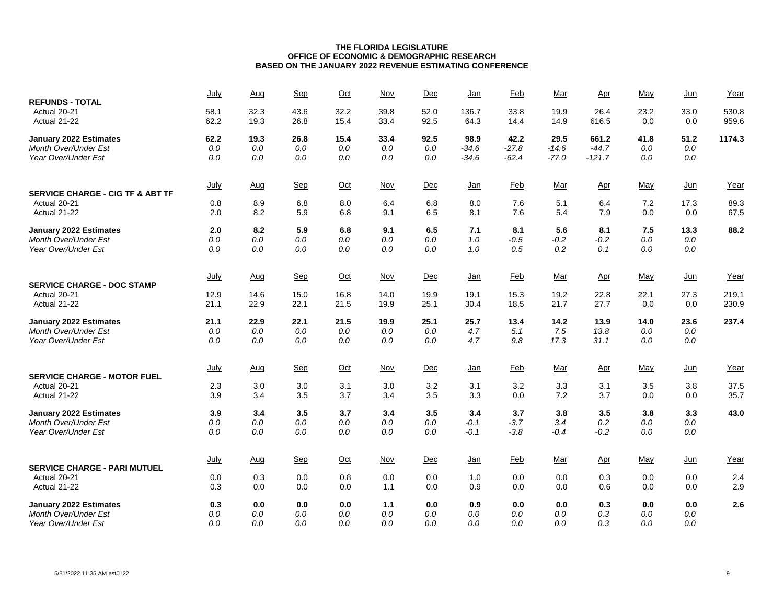| <b>REFUNDS - TOTAL</b>                                      | July         | Aug          | Sep          | $Oct$        | Nov          | Dec          | <u>Jan</u>    | Feb          | Mar          | $_{\Delta \text{pr}}$ | May         | $Jun$       | Year           |
|-------------------------------------------------------------|--------------|--------------|--------------|--------------|--------------|--------------|---------------|--------------|--------------|-----------------------|-------------|-------------|----------------|
| Actual 20-21<br>Actual 21-22                                | 58.1<br>62.2 | 32.3<br>19.3 | 43.6<br>26.8 | 32.2<br>15.4 | 39.8<br>33.4 | 52.0<br>92.5 | 136.7<br>64.3 | 33.8<br>14.4 | 19.9<br>14.9 | 26.4<br>616.5         | 23.2<br>0.0 | 33.0<br>0.0 | 530.8<br>959.6 |
| January 2022 Estimates                                      | 62.2         | 19.3         | 26.8         | 15.4         | 33.4         | 92.5         | 98.9          | 42.2         | 29.5         | 661.2                 | 41.8        | 51.2        | 1174.3         |
| Month Over/Under Est                                        | $0.0$        | 0.0          | $0.0$        | 0.0          | $0.0$        | 0.0          | $-34.6$       | $-27.8$      | $-14.6$      | $-44.7$               | 0.0         | $0.0\,$     |                |
| Year Over/Under Est                                         | 0.0          | 0.0          | 0.0          | 0.0          | 0.0          | 0.0          | $-34.6$       | $-62.4$      | $-77.0$      | $-121.7$              | 0.0         | $0.0\,$     |                |
|                                                             | July         | Aug          | Sep          | $Oct$        | Nov          | Dec          | <u>Jan</u>    | Feb          | Mar          | <u>Apr</u>            | May         | Jun         | Year           |
| <b>SERVICE CHARGE - CIG TF &amp; ABT TF</b><br>Actual 20-21 | 0.8          | 8.9          | 6.8          | 8.0          | 6.4          | 6.8          | 8.0           | 7.6          | 5.1          | 6.4                   | 7.2         | 17.3        | 89.3           |
| Actual 21-22                                                | 2.0          | 8.2          | 5.9          | 6.8          | 9.1          | 6.5          | 8.1           | 7.6          | 5.4          | 7.9                   | 0.0         | 0.0         | 67.5           |
| January 2022 Estimates                                      | 2.0          | 8.2          | 5.9          | 6.8          | 9.1          | 6.5          | 7.1           | 8.1          | 5.6          | 8.1                   | 7.5         | 13.3        | 88.2           |
| Month Over/Under Est                                        | 0.0          | 0.0          | $0.0$        | 0.0          | 0.0          | 0.0          | 1.0           | $-0.5$       | $-0.2$       | $-0.2$                | 0.0         | $0.0\,$     |                |
| Year Over/Under Est                                         | 0.0          | 0.0          | 0.0          | 0.0          | 0.0          | 0.0          | 1.0           | 0.5          | 0.2          | 0.1                   | 0.0         | 0.0         |                |
|                                                             | <u>July</u>  | Aug          | Sep          | Oct          | <u>Nov</u>   | Dec          | <u>Jan</u>    | <b>Feb</b>   | <u>Mar</u>   | <u>Apr</u>            | <u>May</u>  | <u>Jun</u>  | Year           |
| <b>SERVICE CHARGE - DOC STAMP</b>                           |              |              |              |              |              |              |               |              |              |                       |             |             |                |
| Actual 20-21<br>Actual 21-22                                | 12.9<br>21.1 | 14.6<br>22.9 | 15.0<br>22.1 | 16.8<br>21.5 | 14.0<br>19.9 | 19.9<br>25.1 | 19.1<br>30.4  | 15.3<br>18.5 | 19.2<br>21.7 | 22.8<br>27.7          | 22.1<br>0.0 | 27.3<br>0.0 | 219.1<br>230.9 |
| January 2022 Estimates                                      | 21.1         | 22.9         | 22.1         | 21.5         | 19.9         | 25.1         | 25.7          | 13.4         | 14.2         | 13.9                  | 14.0        | 23.6        | 237.4          |
| <b>Month Over/Under Est</b>                                 | 0.0          | 0.0          | 0.0          | 0.0          | 0.0          | 0.0          | 4.7           | 5.1          | 7.5          | 13.8                  | 0.0         | 0.0         |                |
| Year Over/Under Est                                         | 0.0          | 0.0          | 0.0          | 0.0          | 0.0          | 0.0          | 4.7           | 9.8          | 17.3         | 31.1                  | 0.0         | 0.0         |                |
| <b>SERVICE CHARGE - MOTOR FUEL</b>                          | July         | <b>Aug</b>   | Sep          | $Oct$        | $Nov$        | Dec          | <u>Jan</u>    | <b>Feb</b>   | <u>Mar</u>   | Apr                   | May         | $Jun$       | Year           |
| Actual 20-21                                                | 2.3          | 3.0          | 3.0          | 3.1          | 3.0          | 3.2          | 3.1           | 3.2          | 3.3          | 3.1                   | 3.5         | 3.8         | 37.5           |
| Actual 21-22                                                | 3.9          | 3.4          | 3.5          | 3.7          | 3.4          | 3.5          | 3.3           | 0.0          | 7.2          | 3.7                   | 0.0         | 0.0         | 35.7           |
| January 2022 Estimates                                      | 3.9          | 3.4          | 3.5          | 3.7          | 3.4          | 3.5          | 3.4           | 3.7          | 3.8          | 3.5                   | 3.8         | 3.3         | 43.0           |
| Month Over/Under Est                                        | 0.0          | 0.0          | 0.0          | 0.0          | 0.0          | 0.0          | $-0.1$        | $-3.7$       | 3.4          | 0.2                   | 0.0         | $0.0\,$     |                |
| Year Over/Under Est                                         | 0.0          | 0.0          | 0.0          | 0.0          | 0.0          | 0.0          | -0.1          | $-3.8$       | $-0.4$       | $-0.2$                | 0.0         | 0.0         |                |
|                                                             | July         | Aug          | Sep          | $Oct$        | <b>Nov</b>   | Dec          | <u>Jan</u>    | <b>Feb</b>   | Mar          | Apr                   | May         | $Jun$       | Year           |
| <b>SERVICE CHARGE - PARI MUTUEL</b>                         | 0.0          |              | 0.0          | 0.8          | 0.0          |              | 1.0           | 0.0          | 0.0          |                       | 0.0         | 0.0         |                |
| Actual 20-21<br>Actual 21-22                                | 0.3          | 0.3<br>0.0   | 0.0          | 0.0          | 1.1          | 0.0<br>0.0   | 0.9           | 0.0          | 0.0          | 0.3<br>0.6            | 0.0         | 0.0         | 2.4<br>2.9     |
| January 2022 Estimates                                      | 0.3          | 0.0          | 0.0          | 0.0          | 1.1          | 0.0          | 0.9           | 0.0          | 0.0          | 0.3                   | 0.0         | 0.0         | 2.6            |
| <b>Month Over/Under Est</b>                                 | 0.0          | 0.0          | 0.0          | 0.0          | 0.0          | 0.0          | 0.0           | 0.0          | 0.0          | 0.3                   | 0.0         | 0.0         |                |
| Year Over/Under Est                                         | 0.0          | 0.0          | 0.0          | 0.0          | 0.0          | 0.0          | 0.0           | 0.0          | 0.0          | 0.3                   | 0.0         | 0.0         |                |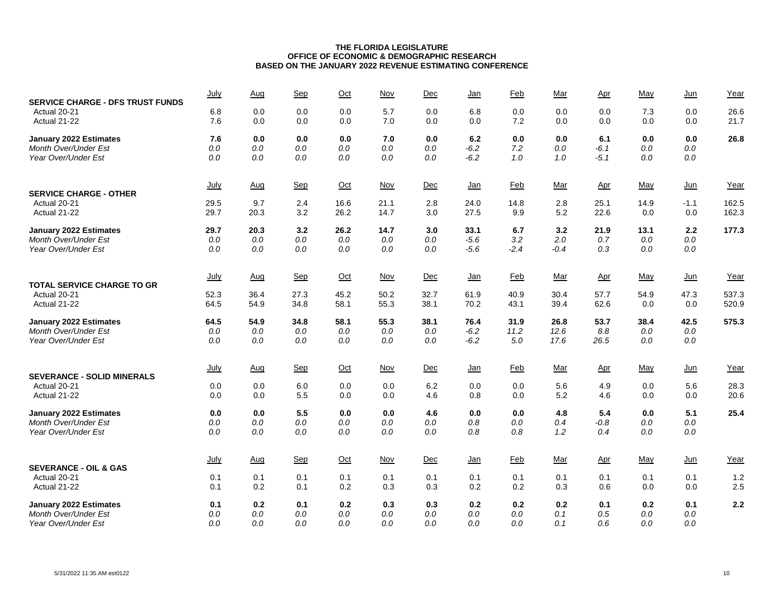| <b>SERVICE CHARGE - DFS TRUST FUNDS</b>                      | July         | Aug        | Sep            | Oct        | Nov            | Dec            | <u>Jan</u>       | Feb           | Mar           | Apr           | May        | $Jun$          | Year         |
|--------------------------------------------------------------|--------------|------------|----------------|------------|----------------|----------------|------------------|---------------|---------------|---------------|------------|----------------|--------------|
| Actual 20-21<br>Actual 21-22                                 | 6.8<br>7.6   | 0.0<br>0.0 | 0.0<br>0.0     | 0.0<br>0.0 | 5.7<br>7.0     | 0.0<br>0.0     | 6.8<br>0.0       | 0.0<br>7.2    | 0.0<br>0.0    | 0.0<br>0.0    | 7.3<br>0.0 | 0.0<br>0.0     | 26.6<br>21.7 |
| <b>January 2022 Estimates</b><br><b>Month Over/Under Est</b> | 7.6<br>$0.0$ | 0.0<br>0.0 | 0.0<br>$0.0$   | 0.0<br>0.0 | 7.0<br>0.0     | 0.0<br>0.0     | 6.2<br>$-6.2$    | 0.0<br>7.2    | 0.0<br>0.0    | 6.1<br>$-6.1$ | 0.0<br>0.0 | 0.0<br>$0.0\,$ | 26.8         |
| Year Over/Under Est                                          | $0.0$        | 0.0        | 0.0            | 0.0        | 0.0            | 0.0            | $-6.2$           | 1.0           | 1.0           | $-5.1$        | 0.0        | $0.0\,$        |              |
| <b>SERVICE CHARGE - OTHER</b>                                | July         | <u>Aug</u> | <b>Sep</b>     | $Oct$      | <b>Nov</b>     | Dec            | <u>Jan</u>       | <b>Feb</b>    | Mar           | <u>Apr</u>    | May        | $Jun$          | Year         |
| Actual 20-21                                                 | 29.5         | 9.7        | 2.4            | 16.6       | 21.1           | 2.8            | 24.0             | 14.8          | 2.8           | 25.1          | 14.9       | $-1.1$         | 162.5        |
| Actual 21-22                                                 | 29.7         | 20.3       | 3.2            | 26.2       | 14.7           | 3.0            | 27.5             | 9.9           | 5.2           | 22.6          | 0.0        | 0.0            | 162.3        |
| January 2022 Estimates                                       | 29.7         | 20.3       | 3.2            | 26.2       | 14.7           | 3.0            | 33.1             | 6.7           | 3.2           | 21.9          | 13.1       | 2.2            | 177.3        |
| Month Over/Under Est<br>Year Over/Under Est                  | $0.0$<br>0.0 | 0.0<br>0.0 | $0.0\,$<br>0.0 | 0.0<br>0.0 | $0.0\,$<br>0.0 | $0.0\,$<br>0.0 | $-5.6$<br>$-5.6$ | 3.2<br>$-2.4$ | 2.0<br>$-0.4$ | 0.7<br>0.3    | 0.0<br>0.0 | 0.0<br>$0.0\,$ |              |
|                                                              |              |            |                |            |                |                |                  |               |               |               |            |                |              |
|                                                              | <u>July</u>  | Aug        | Sep            | $Oct$      | <b>Nov</b>     | Dec            | <u>Jan</u>       | <b>Feb</b>    | <u>Mar</u>    | <u>Apr</u>    | <u>May</u> | <u>Jun</u>     | Year         |
| <b>TOTAL SERVICE CHARGE TO GR</b><br>Actual 20-21            | 52.3         | 36.4       | 27.3           | 45.2       | 50.2           | 32.7           | 61.9             | 40.9          | 30.4          | 57.7          | 54.9       | 47.3           | 537.3        |
| Actual 21-22                                                 | 64.5         | 54.9       | 34.8           | 58.1       | 55.3           | 38.1           | 70.2             | 43.1          | 39.4          | 62.6          | 0.0        | 0.0            | 520.9        |
| January 2022 Estimates                                       | 64.5         | 54.9       | 34.8           | 58.1       | 55.3           | 38.1           | 76.4             | 31.9          | 26.8          | 53.7          | 38.4       | 42.5           | 575.3        |
| Month Over/Under Est                                         | 0.0          | 0.0        | 0.0            | 0.0        | 0.0            | 0.0            | $-6.2$           | 11.2          | 12.6          | 8.8           | 0.0        | 0.0            |              |
| Year Over/Under Est                                          | 0.0          | 0.0        | 0.0            | 0.0        | 0.0            | 0.0            | $-6.2$           | 5.0           | 17.6          | 26.5          | 0.0        | 0.0            |              |
|                                                              | July         | Aug        | Sep            | $Oct$      | $Nov$          | Dec            | <u>Jan</u>       | <b>Feb</b>    | Mar           | <u>Apr</u>    | May        | $Jun$          | Year         |
| <b>SEVERANCE - SOLID MINERALS</b><br>Actual 20-21            | 0.0          | 0.0        | 6.0            | 0.0        | 0.0            | 6.2            | 0.0              | 0.0           | 5.6           | 4.9           | 0.0        | 5.6            | 28.3         |
| Actual 21-22                                                 | 0.0          | 0.0        | 5.5            | 0.0        | 0.0            | 4.6            | 0.8              | 0.0           | 5.2           | 4.6           | 0.0        | 0.0            | 20.6         |
| January 2022 Estimates                                       | 0.0          | 0.0        | 5.5            | 0.0        | 0.0            | 4.6            | 0.0              | 0.0           | 4.8           | 5.4           | 0.0        | 5.1            | 25.4         |
| Month Over/Under Est                                         | 0.0          | 0.0        | 0.0            | 0.0        | 0.0            | 0.0            | 0.8              | 0.0           | 0.4           | $-0.8$        | 0.0        | 0.0            |              |
| Year Over/Under Est                                          | 0.0          | 0.0        | 0.0            | 0.0        | 0.0            | 0.0            | 0.8              | 0.8           | 1.2           | 0.4           | 0.0        | 0.0            |              |
|                                                              | July         | Aug        | Sep            | $Oct$      | Nov            | Dec            | <u>Jan</u>       | <b>Feb</b>    | Mar           | Apr           | May        | $Jun$          | Year         |
| <b>SEVERANCE - OIL &amp; GAS</b>                             |              |            |                |            |                |                |                  |               |               |               |            |                |              |
| Actual 20-21<br>Actual 21-22                                 | 0.1<br>0.1   | 0.1<br>0.2 | 0.1<br>0.1     | 0.1<br>0.2 | 0.1<br>0.3     | 0.1<br>0.3     | 0.1<br>0.2       | 0.1<br>0.2    | 0.1<br>0.3    | 0.1<br>0.6    | 0.1<br>0.0 | 0.1<br>0.0     | 1.2<br>2.5   |
|                                                              |              |            |                |            |                |                |                  |               |               |               |            |                |              |
| <b>January 2022 Estimates</b><br><b>Month Over/Under Est</b> | 0.1<br>0.0   | 0.2<br>0.0 | 0.1<br>0.0     | 0.2<br>0.0 | 0.3<br>0.0     | 0.3<br>0.0     | 0.2<br>0.0       | 0.2<br>0.0    | 0.2<br>0.1    | 0.1<br>0.5    | 0.2<br>0.0 | 0.1<br>0.0     | 2.2          |
| Year Over/Under Est                                          | 0.0          | 0.0        | 0.0            | 0.0        | 0.0            | 0.0            | 0.0              | 0.0           | 0.1           | 0.6           | 0.0        | 0.0            |              |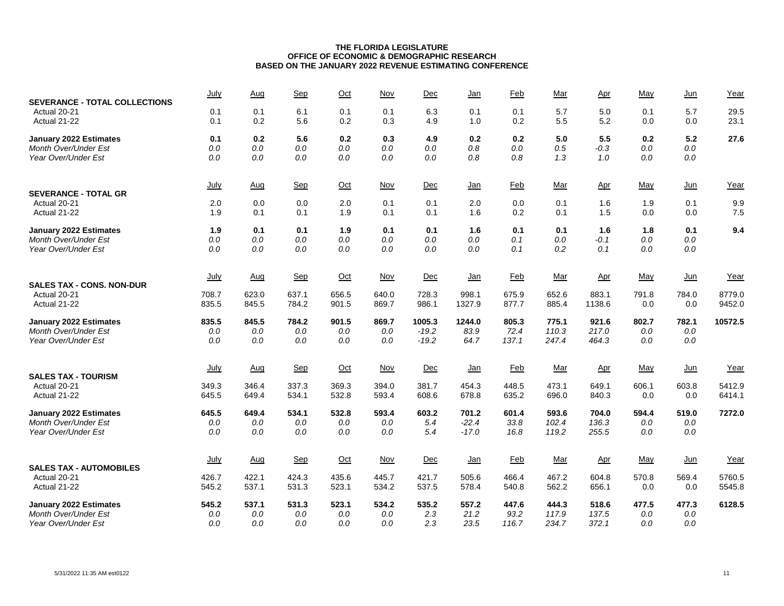| <b>SEVERANCE - TOTAL COLLECTIONS</b> | July           | Aug            | Sep            | Oct            | Nov            | Dec            | <u>Jan</u>      | Feb            | Mar            | Apr             | May          | $Jun$        | Year             |
|--------------------------------------|----------------|----------------|----------------|----------------|----------------|----------------|-----------------|----------------|----------------|-----------------|--------------|--------------|------------------|
| Actual 20-21<br>Actual 21-22         | 0.1<br>0.1     | 0.1<br>0.2     | 6.1<br>5.6     | 0.1<br>0.2     | 0.1<br>0.3     | 6.3<br>4.9     | 0.1<br>1.0      | 0.1<br>0.2     | 5.7<br>5.5     | 5.0<br>5.2      | 0.1<br>0.0   | 5.7<br>0.0   | 29.5<br>23.1     |
| <b>January 2022 Estimates</b>        | 0.1            | 0.2            | 5.6            | 0.2            | 0.3            | 4.9            | 0.2             | 0.2            | 5.0            | 5.5             | 0.2          | 5.2          | 27.6             |
| <b>Month Over/Under Est</b>          | $0.0$          | 0.0            | $0.0\,$        | 0.0            | $0.0$          | 0.0            | 0.8             | 0.0            | 0.5            | $-0.3$          | 0.0          | $0.0\,$      |                  |
| Year Over/Under Est                  | $0.0\,$        | 0.0            | $0.0\,$        | $0.0\,$        | 0.0            | 0.0            | 0.8             | 0.8            | 1.3            | 1.0             | 0.0          | $0.0\,$      |                  |
|                                      | July           | Aug            | <b>Sep</b>     | $Oct$          | Nov            | Dec            | <u>Jan</u>      | Feb            | Mar            | Apr             | May          | $Jun$        | Year             |
| <b>SEVERANCE - TOTAL GR</b>          |                |                |                |                |                |                |                 |                |                |                 |              |              |                  |
| Actual 20-21                         | 2.0            | 0.0            | 0.0            | 2.0            | 0.1            | 0.1            | 2.0             | 0.0            | 0.1            | 1.6             | 1.9          | 0.1          | 9.9              |
| Actual 21-22                         | 1.9            | 0.1            | 0.1            | 1.9            | 0.1            | 0.1            | 1.6             | 0.2            | 0.1            | 1.5             | 0.0          | 0.0          | 7.5              |
| January 2022 Estimates               | 1.9            | 0.1            | 0.1            | 1.9            | 0.1            | 0.1            | 1.6             | 0.1            | 0.1            | 1.6             | 1.8          | 0.1          | 9.4              |
| <b>Month Over/Under Est</b>          | $0.0\,$        | 0.0            | 0.0            | $0.0\,$        | 0.0            | 0.0            | 0.0             | 0.1            | 0.0            | $-0.1$          | 0.0          | 0.0          |                  |
| Year Over/Under Est                  | $0.0\,$        | 0.0            | 0.0            | $0.0\,$        | 0.0            | 0.0            | 0.0             | 0.1            | 0.2            | 0.1             | 0.0          | $0.0\,$      |                  |
|                                      | July           | Aug            | Sep            | $Oct$          | Nov            | Dec            | <u>Jan</u>      | <b>Feb</b>     | Mar            | Apr             | May          | <u>Jun</u>   | Year             |
| <b>SALES TAX - CONS. NON-DUR</b>     |                |                |                |                |                |                |                 |                |                |                 |              |              |                  |
| Actual 20-21<br>Actual 21-22         | 708.7<br>835.5 | 623.0<br>845.5 | 637.1<br>784.2 | 656.5<br>901.5 | 640.0<br>869.7 | 728.3<br>986.1 | 998.1<br>1327.9 | 675.9<br>877.7 | 652.6<br>885.4 | 883.1<br>1138.6 | 791.8<br>0.0 | 784.0<br>0.0 | 8779.0<br>9452.0 |
| January 2022 Estimates               | 835.5          | 845.5          | 784.2          | 901.5          | 869.7          | 1005.3         | 1244.0          | 805.3          | 775.1          | 921.6           | 802.7        | 782.1        | 10572.5          |
| <b>Month Over/Under Est</b>          | $0.0$          | 0.0            | $0.0\,$        | 0.0            | $0.0$          | $-19.2$        | 83.9            | 72.4           | 110.3          | 217.0           | 0.0          | $0.0$        |                  |
| Year Over/Under Est                  | 0.0            | 0.0            | 0.0            | 0.0            | 0.0            | $-19.2$        | 64.7            | 137.1          | 247.4          | 464.3           | 0.0          | 0.0          |                  |
|                                      | July           | Aug            | Sep            | $Oct$          | Nov            | Dec            |                 | <b>Feb</b>     | Mar            |                 | May          | $Jun$        | Year             |
| <b>SALES TAX - TOURISM</b>           |                |                |                |                |                |                | <u>Jan</u>      |                |                | <u>Apr</u>      |              |              |                  |
| Actual 20-21                         | 349.3          | 346.4          | 337.3          | 369.3          | 394.0          | 381.7          | 454.3           | 448.5          | 473.1          | 649.1           | 606.1        | 603.8        | 5412.9           |
| Actual 21-22                         | 645.5          | 649.4          | 534.1          | 532.8          | 593.4          | 608.6          | 678.8           | 635.2          | 696.0          | 840.3           | 0.0          | 0.0          | 6414.1           |
| January 2022 Estimates               | 645.5          | 649.4          | 534.1          | 532.8          | 593.4          | 603.2          | 701.2           | 601.4          | 593.6          | 704.0           | 594.4        | 519.0        | 7272.0           |
| <b>Month Over/Under Est</b>          | $0.0\,$        | 0.0            | $0.0\,$        | 0.0            | $0.0$          | 5.4            | $-22.4$         | 33.8           | 102.4          | 136.3           | 0.0          | 0.0          |                  |
| Year Over/Under Est                  | 0.0            | 0.0            | 0.0            | 0.0            | 0.0            | 5.4            | $-17.0$         | 16.8           | 119.2          | 255.5           | 0.0          | 0.0          |                  |
|                                      | <u>July</u>    | Aug            | Sep            | $Oct$          | Nov            | Dec            | <u>Jan</u>      | <b>Feb</b>     | Mar            | Apr             | May          | $Jun$        | Year             |
| <b>SALES TAX - AUTOMOBILES</b>       |                |                |                |                |                |                |                 |                |                |                 |              |              |                  |
| Actual 20-21                         | 426.7          | 422.1          | 424.3          | 435.6          | 445.7          | 421.7          | 505.6           | 466.4          | 467.2          | 604.8           | 570.8        | 569.4        | 5760.5           |
| Actual 21-22                         | 545.2          | 537.1          | 531.3          | 523.1          | 534.2          | 537.5          | 578.4           | 540.8          | 562.2          | 656.1           | 0.0          | 0.0          | 5545.8           |
| <b>January 2022 Estimates</b>        | 545.2          | 537.1          | 531.3          | 523.1          | 534.2          | 535.2          | 557.2           | 447.6          | 444.3          | 518.6           | 477.5        | 477.3        | 6128.5           |
| <b>Month Over/Under Est</b>          | $0.0$          | 0.0            | 0.0            | 0.0            | $0.0$          | 2.3            | 21.2            | 93.2           | 117.9          | 137.5           | 0.0          | 0.0          |                  |
| Year Over/Under Est                  | 0.0            | 0.0            | 0.0            | 0.0            | 0.0            | 2.3            | 23.5            | 116.7          | 234.7          | 372.1           | 0.0          | 0.0          |                  |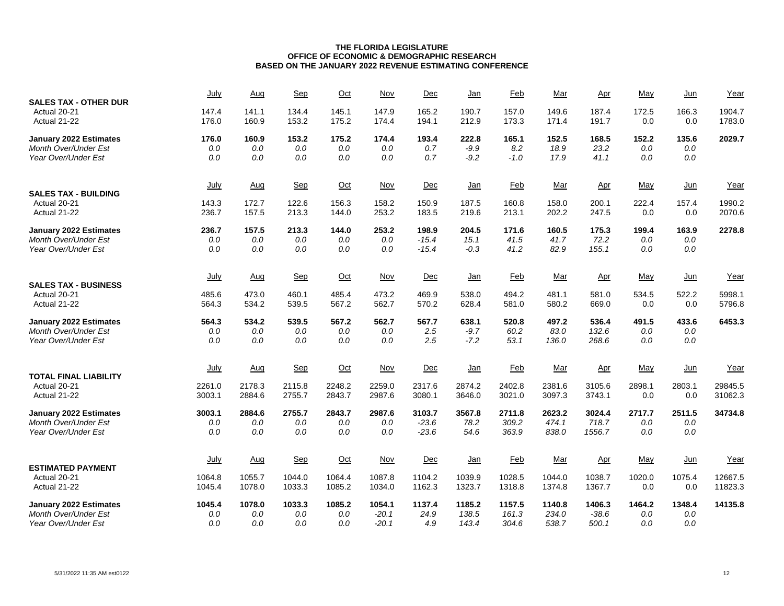| <b>SALES TAX - OTHER DUR</b>  | July             | Aug              | Sep              | $Oct$            | Nov              | Dec              | <u>Jan</u>       | Feb              | Mar              | Apr              | May           | Jun           | Year               |
|-------------------------------|------------------|------------------|------------------|------------------|------------------|------------------|------------------|------------------|------------------|------------------|---------------|---------------|--------------------|
| Actual 20-21<br>Actual 21-22  | 147.4<br>176.0   | 141.1<br>160.9   | 134.4<br>153.2   | 145.1<br>175.2   | 147.9<br>174.4   | 165.2<br>194.1   | 190.7<br>212.9   | 157.0<br>173.3   | 149.6<br>171.4   | 187.4<br>191.7   | 172.5<br>0.0  | 166.3<br>0.0  | 1904.7<br>1783.0   |
| <b>January 2022 Estimates</b> | 176.0            | 160.9            | 153.2            | 175.2            | 174.4            | 193.4            | 222.8            | 165.1            | 152.5            | 168.5            | 152.2         | 135.6         | 2029.7             |
| <b>Month Over/Under Est</b>   | $0.0\,$          | 0.0              | 0.0              | 0.0              | 0.0              | 0.7              | $-9.9$           | 8.2              | 18.9             | 23.2             | 0.0           | 0.0           |                    |
| Year Over/Under Est           | 0.0              | 0.0              | 0.0              | 0.0              | 0.0              | 0.7              | $-9.2$           | $-1.0$           | 17.9             | 41.1             | 0.0           | $0.0\,$       |                    |
|                               | July             | <u>Aug</u>       | <b>Sep</b>       | $Oct$            | Nov              | Dec              | <u>Jan</u>       | <b>Feb</b>       | Mar              | Apr              | May           | $Jun$         | Year               |
| <b>SALES TAX - BUILDING</b>   |                  |                  |                  |                  |                  |                  |                  |                  |                  |                  |               |               |                    |
| Actual 20-21<br>Actual 21-22  | 143.3<br>236.7   | 172.7<br>157.5   | 122.6<br>213.3   | 156.3<br>144.0   | 158.2<br>253.2   | 150.9<br>183.5   | 187.5<br>219.6   | 160.8<br>213.1   | 158.0<br>202.2   | 200.1<br>247.5   | 222.4<br>0.0  | 157.4<br>0.0  | 1990.2<br>2070.6   |
| January 2022 Estimates        | 236.7            | 157.5            | 213.3            | 144.0            | 253.2            | 198.9            | 204.5            | 171.6            | 160.5            | 175.3            | 199.4         | 163.9         | 2278.8             |
| <b>Month Over/Under Est</b>   | 0.0              | 0.0              | 0.0              | 0.0              | 0.0              | $-15.4$          | 15.1             | 41.5             | 41.7             | 72.2             | 0.0           | 0.0           |                    |
| Year Over/Under Est           | 0.0              | 0.0              | 0.0              | 0.0              | 0.0              | $-15.4$          | $-0.3$           | 41.2             | 82.9             | 155.1            | 0.0           | 0.0           |                    |
|                               | <u>July</u>      | Aug              | Sep              | $Oct$            | Nov              | Dec              | <u>Jan</u>       | <b>Feb</b>       | Mar              | <u>Apr</u>       | May           | <u>Jun</u>    | Year               |
| <b>SALES TAX - BUSINESS</b>   |                  |                  |                  |                  |                  |                  |                  |                  |                  |                  |               |               |                    |
| Actual 20-21<br>Actual 21-22  | 485.6<br>564.3   | 473.0<br>534.2   | 460.1<br>539.5   | 485.4<br>567.2   | 473.2<br>562.7   | 469.9<br>570.2   | 538.0<br>628.4   | 494.2<br>581.0   | 481.1<br>580.2   | 581.0<br>669.0   | 534.5<br>0.0  | 522.2<br>0.0  | 5998.1<br>5796.8   |
| January 2022 Estimates        | 564.3            | 534.2            | 539.5            | 567.2            | 562.7            | 567.7            | 638.1            | 520.8            | 497.2            | 536.4            | 491.5         | 433.6         | 6453.3             |
| <b>Month Over/Under Est</b>   | 0.0              | 0.0              | 0.0              | 0.0              | 0.0              | 2.5              | $-9.7$           | 60.2             | 83.0             | 132.6            | 0.0           | 0.0           |                    |
| Year Over/Under Est           | 0.0              | 0.0              | 0.0              | 0.0              | 0.0              | 2.5              | $-7.2$           | 53.1             | 136.0            | 268.6            | 0.0           | 0.0           |                    |
| <b>TOTAL FINAL LIABILITY</b>  | July             | <u>Aug</u>       | <b>Sep</b>       | $Oct$            | Nov              | Dec              | <u>Jan</u>       | Feb              | Mar              | <u>Apr</u>       | May           | Jun           | Year               |
| Actual 20-21                  |                  | 2178.3           | 2115.8           | 2248.2           | 2259.0           | 2317.6           | 2874.2           | 2402.8           | 2381.6           | 3105.6           | 2898.1        | 2803.1        |                    |
| Actual 21-22                  | 2261.0<br>3003.1 | 2884.6           | 2755.7           | 2843.7           | 2987.6           | 3080.1           | 3646.0           | 3021.0           | 3097.3           | 3743.1           | 0.0           | 0.0           | 29845.5<br>31062.3 |
| January 2022 Estimates        | 3003.1           | 2884.6           | 2755.7           | 2843.7           | 2987.6           | 3103.7           | 3567.8           | 2711.8           | 2623.2           | 3024.4           | 2717.7        | 2511.5        | 34734.8            |
| <b>Month Over/Under Est</b>   | $0.0\,$          | 0.0              | $0.0\,$          | 0.0              | $0.0$            | $-23.6$          | 78.2             | 309.2            | 474.1            | 718.7            | $0.0\,$       | 0.0           |                    |
| Year Over/Under Est           | $0.0$            | 0.0              | 0.0              | 0.0              | 0.0              | $-23.6$          | 54.6             | 363.9            | 838.0            | 1556.7           | 0.0           | 0.0           |                    |
|                               | <u>July</u>      | Aug              | Sep              | $Oct$            | Nov              | Dec              | <u>Jan</u>       | <b>Feb</b>       | Mar              | Apr              | May           | $Jun$         | Year               |
| <b>ESTIMATED PAYMENT</b>      |                  |                  |                  |                  |                  |                  |                  |                  |                  |                  |               |               |                    |
| Actual 20-21<br>Actual 21-22  | 1064.8<br>1045.4 | 1055.7<br>1078.0 | 1044.0<br>1033.3 | 1064.4<br>1085.2 | 1087.8<br>1034.0 | 1104.2<br>1162.3 | 1039.9<br>1323.7 | 1028.5<br>1318.8 | 1044.0<br>1374.8 | 1038.7<br>1367.7 | 1020.0<br>0.0 | 1075.4<br>0.0 | 12667.5<br>11823.3 |
| <b>January 2022 Estimates</b> | 1045.4           | 1078.0           | 1033.3           | 1085.2           | 1054.1           | 1137.4           | 1185.2           | 1157.5           | 1140.8           | 1406.3           | 1464.2        | 1348.4        | 14135.8            |
| <b>Month Over/Under Est</b>   | $0.0$            | 0.0              | 0.0              | 0.0              | $-20.1$          | 24.9             | 138.5            | 161.3            | 234.0            | $-38.6$          | 0.0           | 0.0           |                    |
| Year Over/Under Est           | 0.0              | 0.0              | 0.0              | 0.0              | $-20.1$          | 4.9              | 143.4            | 304.6            | 538.7            | 500.1            | 0.0           | 0.0           |                    |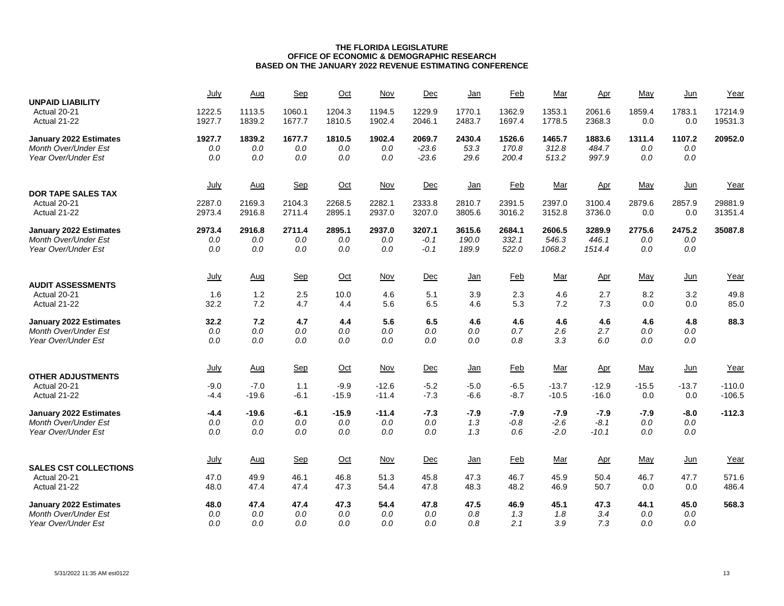| <b>UNPAID LIABILITY</b>       | July             | Aug               | Sep              | $Oct$             | Nov                | Dec              | Jan              | Feb              | Mar                | Apr                | May            | Jun            | Year                 |
|-------------------------------|------------------|-------------------|------------------|-------------------|--------------------|------------------|------------------|------------------|--------------------|--------------------|----------------|----------------|----------------------|
| Actual 20-21<br>Actual 21-22  | 1222.5<br>1927.7 | 1113.5<br>1839.2  | 1060.1<br>1677.7 | 1204.3<br>1810.5  | 1194.5<br>1902.4   | 1229.9<br>2046.1 | 1770.1<br>2483.7 | 1362.9<br>1697.4 | 1353.1<br>1778.5   | 2061.6<br>2368.3   | 1859.4<br>0.0  | 1783.1<br>0.0  | 17214.9<br>19531.3   |
| <b>January 2022 Estimates</b> | 1927.7           | 1839.2            | 1677.7           | 1810.5            | 1902.4             | 2069.7           | 2430.4           | 1526.6           | 1465.7             | 1883.6             | 1311.4         | 1107.2         | 20952.0              |
| <b>Month Over/Under Est</b>   | $0.0\,$          | 0.0               | 0.0              | 0.0               | 0.0                | $-23.6$          | 53.3             | 170.8            | 312.8              | 484.7              | 0.0            | 0.0            |                      |
| Year Over/Under Est           | 0.0              | 0.0               | $0.0\,$          | 0.0               | 0.0                | $-23.6$          | 29.6             | 200.4            | 513.2              | 997.9              | 0.0            | 0.0            |                      |
|                               | July             | Aug               | Sep              | $Oct$             | Nov                | Dec              | <u>Jan</u>       | <b>Feb</b>       | <u>Mar</u>         | Apr                | May            | $Jun$          | Year                 |
| <b>DOR TAPE SALES TAX</b>     |                  |                   |                  |                   |                    |                  |                  |                  |                    |                    |                |                |                      |
| Actual 20-21<br>Actual 21-22  | 2287.0<br>2973.4 | 2169.3<br>2916.8  | 2104.3<br>2711.4 | 2268.5<br>2895.1  | 2282.1<br>2937.0   | 2333.8<br>3207.0 | 2810.7<br>3805.6 | 2391.5<br>3016.2 | 2397.0<br>3152.8   | 3100.4<br>3736.0   | 2879.6<br>0.0  | 2857.9<br>0.0  | 29881.9<br>31351.4   |
| January 2022 Estimates        | 2973.4           | 2916.8            | 2711.4           | 2895.1            | 2937.0             | 3207.1           | 3615.6           | 2684.1           | 2606.5             | 3289.9             | 2775.6         | 2475.2         | 35087.8              |
| <b>Month Over/Under Est</b>   | $0.0\,$          | 0.0               | 0.0              | 0.0               | 0.0                | $-0.1$           | 190.0            | 332.1            | 546.3              | 446.1              | 0.0            | 0.0            |                      |
| Year Over/Under Est           | 0.0              | 0.0               | 0.0              | 0.0               | 0.0                | $-0.1$           | 189.9            | 522.0            | 1068.2             | 1514.4             | 0.0            | 0.0            |                      |
|                               | July             | Aug               | Sep              | $Oct$             | Nov                | Dec              | <u>Jan</u>       | <b>Feb</b>       | <u>Mar</u>         | Apr                | May            | <u>Jun</u>     | Year                 |
| <b>AUDIT ASSESSMENTS</b>      |                  |                   |                  |                   |                    |                  |                  |                  |                    |                    |                |                |                      |
| Actual 20-21                  | 1.6              | 1.2               | 2.5              | 10.0              | 4.6                | 5.1              | 3.9              | 2.3              | 4.6                | 2.7                | 8.2            | 3.2            | 49.8                 |
| Actual 21-22                  | 32.2             | 7.2               | 4.7              | 4.4               | 5.6                | 6.5              | 4.6              | 5.3              | 7.2                | 7.3                | 0.0            | 0.0            | 85.0                 |
| January 2022 Estimates        | 32.2             | 7.2               | 4.7              | 4.4               | 5.6                | 6.5              | 4.6              | 4.6              | 4.6                | 4.6                | 4.6            | 4.8            | 88.3                 |
| <b>Month Over/Under Est</b>   | $0.0\,$          | 0.0               | 0.0              | 0.0               | 0.0                | 0.0              | 0.0              | 0.7              | 2.6                | 2.7                | 0.0            | 0.0            |                      |
| Year Over/Under Est           | 0.0              | 0.0               | 0.0              | 0.0               | 0.0                | 0.0              | 0.0              | 0.8              | 3.3                | 6.0                | 0.0            | 0.0            |                      |
|                               | July             | <u>Aug</u>        | Sep              | $Oct$             | Nov                | Dec              | Jan              | Feb              | <u>Mar</u>         | <u>Apr</u>         | May            | Jun            | Year                 |
| <b>OTHER ADJUSTMENTS</b>      |                  |                   |                  |                   |                    |                  |                  |                  |                    |                    |                |                |                      |
| Actual 20-21<br>Actual 21-22  | $-9.0$<br>$-4.4$ | $-7.0$<br>$-19.6$ | 1.1<br>$-6.1$    | $-9.9$<br>$-15.9$ | $-12.6$<br>$-11.4$ | $-5.2$<br>$-7.3$ | $-5.0$<br>-6.6   | $-6.5$<br>$-8.7$ | $-13.7$<br>$-10.5$ | $-12.9$<br>$-16.0$ | $-15.5$<br>0.0 | $-13.7$<br>0.0 | $-110.0$<br>$-106.5$ |
|                               |                  |                   |                  |                   |                    |                  |                  |                  |                    |                    |                |                |                      |
| January 2022 Estimates        | $-4.4$           | $-19.6$           | $-6.1$           | $-15.9$           | $-11.4$            | $-7.3$           | $-7.9$           | $-7.9$           | $-7.9$             | $-7.9$             | $-7.9$         | $-8.0$         | $-112.3$             |
| <b>Month Over/Under Est</b>   | $0.0\,$          | $0.0\,$           | $0.0\,$          | $0.0\,$           | $0.0$              | $0.0\,$          | 1.3              | $-0.8$           | $-2.6$             | $-8.1$             | $0.0\,$        | 0.0            |                      |
| Year Over/Under Est           | 0.0              | 0.0               | 0.0              | 0.0               | 0.0                | 0.0              | 1.3              | 0.6              | $-2.0$             | $-10.1$            | 0.0            | 0.0            |                      |
|                               | July             | Aug               | Sep              | $Oct$             | Nov                | Dec              | <u>Jan</u>       | <b>Feb</b>       | <u>Mar</u>         | Apr                | May            | $Jun$          | Year                 |
| <b>SALES CST COLLECTIONS</b>  |                  |                   |                  |                   |                    |                  |                  |                  |                    |                    |                |                |                      |
| Actual 20-21                  | 47.0             | 49.9              | 46.1             | 46.8              | 51.3               | 45.8             | 47.3             | 46.7             | 45.9               | 50.4               | 46.7           | 47.7           | 571.6                |
| Actual 21-22                  | 48.0             | 47.4              | 47.4             | 47.3              | 54.4               | 47.8             | 48.3             | 48.2             | 46.9               | 50.7               | 0.0            | 0.0            | 486.4                |
| January 2022 Estimates        | 48.0             | 47.4              | 47.4             | 47.3              | 54.4               | 47.8             | 47.5             | 46.9             | 45.1               | 47.3               | 44.1           | 45.0           | 568.3                |
| <b>Month Over/Under Est</b>   | 0.0              | 0.0               | 0.0              | 0.0               | 0.0                | 0.0              | 0.8              | 1.3              | 1.8                | 3.4                | 0.0            | 0.0            |                      |
| Year Over/Under Est           | 0.0              | 0.0               | 0.0              | 0.0               | 0.0                | 0.0              | 0.8              | 2.1              | 3.9                | 7.3                | 0.0            | 0.0            |                      |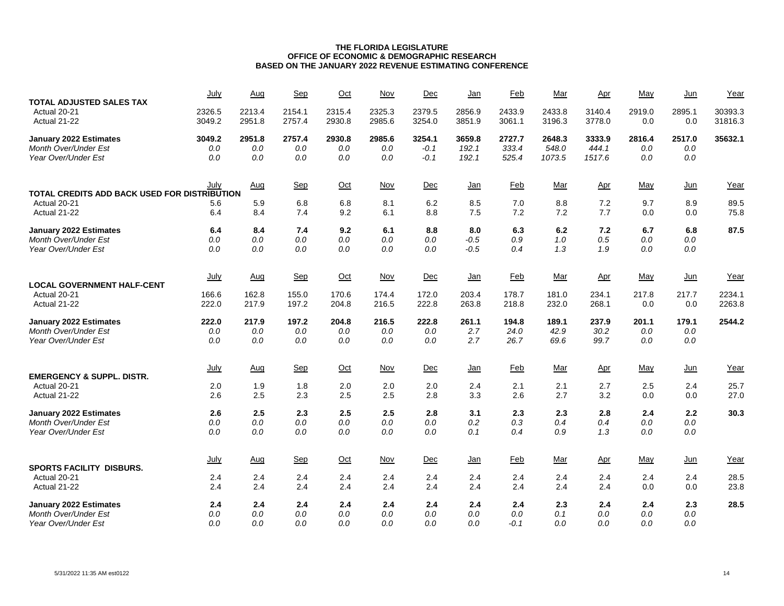| <b>TOTAL ADJUSTED SALES TAX</b>              | July   | Aug        | Sep        | Oct    | Nov        | Dec     | Jan        | Feb        | Mar        | Apr        | May     | Jun    | Year    |
|----------------------------------------------|--------|------------|------------|--------|------------|---------|------------|------------|------------|------------|---------|--------|---------|
| Actual 20-21                                 | 2326.5 | 2213.4     | 2154.1     | 2315.4 | 2325.3     | 2379.5  | 2856.9     | 2433.9     | 2433.8     | 3140.4     | 2919.0  | 2895.1 | 30393.3 |
| Actual 21-22                                 | 3049.2 | 2951.8     | 2757.4     | 2930.8 | 2985.6     | 3254.0  | 3851.9     | 3061.1     | 3196.3     | 3778.0     | 0.0     | 0.0    | 31816.3 |
| January 2022 Estimates                       | 3049.2 | 2951.8     | 2757.4     | 2930.8 | 2985.6     | 3254.1  | 3659.8     | 2727.7     | 2648.3     | 3333.9     | 2816.4  | 2517.0 | 35632.1 |
| <b>Month Over/Under Est</b>                  | 0.0    | 0.0        | 0.0        | 0.0    | 0.0        | $-0.1$  | 192.1      | 333.4      | 548.0      | 444.1      | 0.0     | 0.0    |         |
| Year Over/Under Est                          | 0.0    | 0.0        | 0.0        | 0.0    | 0.0        | $-0.1$  | 192.1      | 525.4      | 1073.5     | 1517.6     | 0.0     | 0.0    |         |
|                                              | July   | <u>Aug</u> | Sep        | $Oct$  | <b>Nov</b> | Dec     | <u>Jan</u> | <b>Feb</b> | <u>Mar</u> | <u>Apr</u> | May     | $Jun$  | Year    |
| TOTAL CREDITS ADD BACK USED FOR DISTRIBUTION |        |            |            |        |            |         |            |            |            |            |         |        |         |
| Actual 20-21                                 | 5.6    | 5.9        | 6.8        | 6.8    | 8.1        | 6.2     | 8.5        | 7.0        | 8.8        | 7.2        | 9.7     | 8.9    | 89.5    |
| Actual 21-22                                 | 6.4    | 8.4        | 7.4        | 9.2    | 6.1        | 8.8     | 7.5        | 7.2        | 7.2        | 7.7        | 0.0     | 0.0    | 75.8    |
| January 2022 Estimates                       | 6.4    | 8.4        | 7.4        | 9.2    | 6.1        | 8.8     | 8.0        | 6.3        | 6.2        | 7.2        | 6.7     | 6.8    | 87.5    |
| <b>Month Over/Under Est</b>                  | 0.0    | 0.0        | 0.0        | 0.0    | 0.0        | 0.0     | $-0.5$     | 0.9        | 1.0        | 0.5        | 0.0     | 0.0    |         |
| Year Over/Under Est                          | 0.0    | 0.0        | 0.0        | 0.0    | 0.0        | 0.0     | $-0.5$     | 0.4        | 1.3        | 1.9        | 0.0     | 0.0    |         |
|                                              | July   | Aug        | <b>Sep</b> | $Oct$  | Nov        | Dec     | <u>Jan</u> | Feb        | Mar        | Apr        | May     | $Jun$  | Year    |
| <b>LOCAL GOVERNMENT HALF-CENT</b>            |        |            |            |        |            |         |            |            |            |            |         |        |         |
| Actual 20-21                                 | 166.6  | 162.8      | 155.0      | 170.6  | 174.4      | 172.0   | 203.4      | 178.7      | 181.0      | 234.1      | 217.8   | 217.7  | 2234.1  |
| Actual 21-22                                 | 222.0  | 217.9      | 197.2      | 204.8  | 216.5      | 222.8   | 263.8      | 218.8      | 232.0      | 268.1      | 0.0     | 0.0    | 2263.8  |
| January 2022 Estimates                       | 222.0  | 217.9      | 197.2      | 204.8  | 216.5      | 222.8   | 261.1      | 194.8      | 189.1      | 237.9      | 201.1   | 179.1  | 2544.2  |
| <b>Month Over/Under Est</b>                  | 0.0    | 0.0        | 0.0        | 0.0    | 0.0        | 0.0     | 2.7        | 24.0       | 42.9       | 30.2       | 0.0     | 0.0    |         |
| Year Over/Under Est                          | 0.0    | 0.0        | 0.0        | 0.0    | 0.0        | 0.0     | 2.7        | 26.7       | 69.6       | 99.7       | 0.0     | 0.0    |         |
|                                              | July   | Aug        | Sep        | $Oct$  | Nov        | Dec     | <u>Jan</u> | <b>Feb</b> | Mar        | Apr        | May     | $Jun$  | Year    |
| <b>EMERGENCY &amp; SUPPL. DISTR.</b>         |        |            |            |        |            |         |            |            |            |            |         |        |         |
| Actual 20-21                                 | 2.0    | 1.9        | 1.8        | 2.0    | 2.0        | 2.0     | 2.4        | 2.1        | 2.1        | 2.7        | 2.5     | 2.4    | 25.7    |
| Actual 21-22                                 | 2.6    | 2.5        | 2.3        | 2.5    | 2.5        | 2.8     | 3.3        | 2.6        | 2.7        | 3.2        | 0.0     | 0.0    | 27.0    |
| <b>January 2022 Estimates</b>                | 2.6    | 2.5        | 2.3        | 2.5    | 2.5        | 2.8     | 3.1        | 2.3        | 2.3        | 2.8        | 2.4     | 2.2    | 30.3    |
| Month Over/Under Est                         | 0.0    | $0.0\,$    | 0.0        | 0.0    | $0.0$      | $0.0\,$ | 0.2        | 0.3        | 0.4        | 0.4        | $0.0\,$ | 0.0    |         |
| Year Over/Under Est                          | 0.0    | 0.0        | 0.0        | 0.0    | 0.0        | 0.0     | 0.1        | 0.4        | 0.9        | 1.3        | 0.0     | 0.0    |         |
|                                              | July   | Aug        | Sep        | $Oct$  | Nov        | Dec     | <u>Jan</u> | <b>Feb</b> | Mar        | Apr        | May     | $Jun$  | Year    |
| <b>SPORTS FACILITY DISBURS.</b>              |        |            |            |        |            |         |            |            |            |            |         |        |         |
| Actual 20-21                                 | 2.4    | 2.4        | 2.4        | 2.4    | 2.4        | 2.4     | 2.4        | 2.4        | 2.4        | 2.4        | 2.4     | 2.4    | 28.5    |
| Actual 21-22                                 | 2.4    | 2.4        | 2.4        | 2.4    | 2.4        | 2.4     | 2.4        | 2.4        | 2.4        | 2.4        | 0.0     | 0.0    | 23.8    |
| <b>January 2022 Estimates</b>                | 2.4    | 2.4        | 2.4        | 2.4    | 2.4        | 2.4     | 2.4        | 2.4        | 2.3        | 2.4        | 2.4     | 2.3    | 28.5    |
| Month Over/Under Est                         | 0.0    | 0.0        | 0.0        | 0.0    | 0.0        | 0.0     | 0.0        | 0.0        | 0.1        | 0.0        | 0.0     | 0.0    |         |
| Year Over/Under Est                          | 0.0    | 0.0        | 0.0        | 0.0    | 0.0        | 0.0     | 0.0        | -0.1       | 0.0        | 0.0        | 0.0     | 0.0    |         |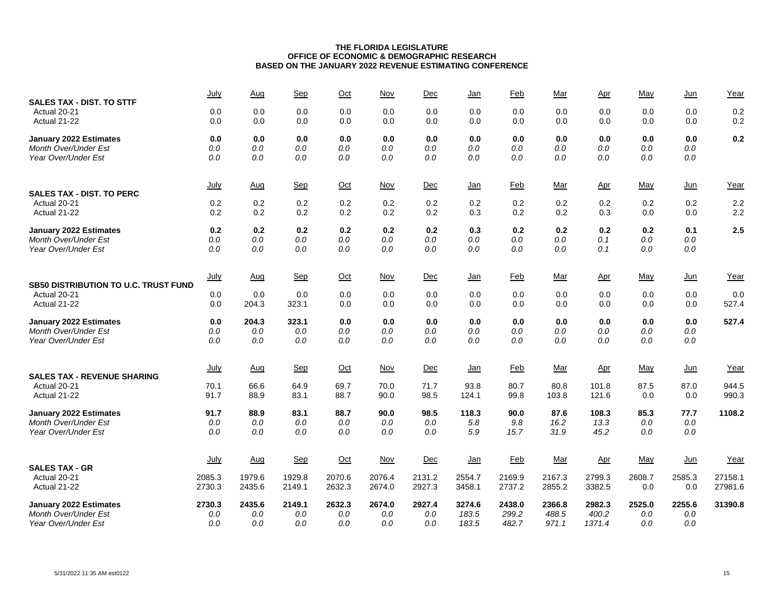| <b>SALES TAX - DIST. TO STTF</b>            | July        | Aug    | Sep        | Oct    | Nov        | Dec    | <u>Jan</u> | Feb        | Mar        | Apr        | May        | $Jun$      | Year    |
|---------------------------------------------|-------------|--------|------------|--------|------------|--------|------------|------------|------------|------------|------------|------------|---------|
| Actual 20-21                                | 0.0         | 0.0    | 0.0        | 0.0    | 0.0        | 0.0    | 0.0        | 0.0        | 0.0        | 0.0        | 0.0        | 0.0        | 0.2     |
| Actual 21-22                                | 0.0         | 0.0    | 0.0        | 0.0    | 0.0        | 0.0    | 0.0        | 0.0        | 0.0        | 0.0        | 0.0        | 0.0        | 0.2     |
| January 2022 Estimates                      | 0.0         | 0.0    | 0.0        | 0.0    | 0.0        | 0.0    | 0.0        | 0.0        | 0.0        | 0.0        | 0.0        | 0.0        | 0.2     |
| Month Over/Under Est                        | $0.0$       | 0.0    | $0.0$      | 0.0    | $0.0$      | 0.0    | 0.0        | 0.0        | 0.0        | 0.0        | 0.0        | 0.0        |         |
| Year Over/Under Est                         | 0.0         | 0.0    | 0.0        | 0.0    | 0.0        | 0.0    | 0.0        | 0.0        | 0.0        | 0.0        | 0.0        | $0.0\,$    |         |
| <b>SALES TAX - DIST. TO PERC</b>            | July        | Aug    | <b>Sep</b> | Oct    | Nov        | Dec    | <u>Jan</u> | Feb        | <u>Mar</u> | <u>Apr</u> | May        | Jun        | Year    |
| Actual 20-21                                | 0.2         | 0.2    | 0.2        | 0.2    | 0.2        | 0.2    | 0.2        | 0.2        | 0.2        | 0.2        | 0.2        | 0.2        | 2.2     |
| Actual 21-22                                | 0.2         | 0.2    | 0.2        | 0.2    | 0.2        | 0.2    | 0.3        | 0.2        | 0.2        | 0.3        | 0.0        | 0.0        | 2.2     |
| January 2022 Estimates                      | 0.2         | 0.2    | 0.2        | 0.2    | 0.2        | 0.2    | 0.3        | 0.2        | 0.2        | 0.2        | 0.2        | 0.1        | 2.5     |
| Month Over/Under Est                        | $0.0$       | 0.0    | $0.0$      | 0.0    | 0.0        | 0.0    | $0.0$      | 0.0        | 0.0        | 0.1        | 0.0        | $0.0\,$    |         |
| Year Over/Under Est                         | 0.0         | 0.0    | 0.0        | 0.0    | 0.0        | 0.0    | 0.0        | 0.0        | 0.0        | 0.1        | 0.0        | 0.0        |         |
| <b>SB50 DISTRIBUTION TO U.C. TRUST FUND</b> | <u>July</u> | Aug    | Sep        | Oct    | <u>Nov</u> | Dec    | <u>Jan</u> | <b>Feb</b> | <u>Mar</u> | <u>Apr</u> | <u>May</u> | <u>Jun</u> | Year    |
| Actual 20-21                                | 0.0         | 0.0    | 0.0        | 0.0    | 0.0        | 0.0    | 0.0        | 0.0        | 0.0        | 0.0        | 0.0        | 0.0        | 0.0     |
| Actual 21-22                                | 0.0         | 204.3  | 323.1      | 0.0    | 0.0        | 0.0    | 0.0        | 0.0        | 0.0        | 0.0        | 0.0        | 0.0        | 527.4   |
| January 2022 Estimates                      | 0.0         | 204.3  | 323.1      | 0.0    | 0.0        | 0.0    | 0.0        | 0.0        | 0.0        | 0.0        | 0.0        | 0.0        | 527.4   |
| <b>Month Over/Under Est</b>                 | 0.0         | 0.0    | 0.0        | 0.0    | 0.0        | 0.0    | 0.0        | 0.0        | 0.0        | $0.0\,$    | 0.0        | 0.0        |         |
| Year Over/Under Est                         | 0.0         | 0.0    | 0.0        | 0.0    | 0.0        | 0.0    | 0.0        | 0.0        | 0.0        | 0.0        | 0.0        | 0.0        |         |
| <b>SALES TAX - REVENUE SHARING</b>          | July        | Aug    | Sep        | $Oct$  | <b>Nov</b> | Dec    | <u>Jan</u> | <b>Feb</b> | <u>Mar</u> | Apr        | May        | $Jun$      | Year    |
| Actual 20-21                                | 70.1        | 66.6   | 64.9       | 69.7   | 70.0       | 71.7   | 93.8       | 80.7       | 80.8       | 101.8      | 87.5       | 87.0       | 944.5   |
| Actual 21-22                                | 91.7        | 88.9   | 83.1       | 88.7   | 90.0       | 98.5   | 124.1      | 99.8       | 103.8      | 121.6      | 0.0        | 0.0        | 990.3   |
| January 2022 Estimates                      | 91.7        | 88.9   | 83.1       | 88.7   | 90.0       | 98.5   | 118.3      | 90.0       | 87.6       | 108.3      | 85.3       | 77.7       | 1108.2  |
| Month Over/Under Est                        | $0.0$       | 0.0    | 0.0        | 0.0    | 0.0        | 0.0    | 5.8        | 9.8        | 16.2       | 13.3       | 0.0        | 0.0        |         |
| Year Over/Under Est                         | 0.0         | 0.0    | 0.0        | 0.0    | 0.0        | 0.0    | 5.9        | 15.7       | 31.9       | 45.2       | 0.0        | 0.0        |         |
| <b>SALES TAX - GR</b>                       | <u>July</u> | Aug    | Sep        | $Oct$  | <b>Nov</b> | Dec    | <u>Jan</u> | <b>Feb</b> | Mar        | Apr        | May        | $Jun$      | Year    |
| Actual 20-21                                | 2085.3      | 1979.6 | 1929.8     | 2070.6 | 2076.4     | 2131.2 | 2554.7     | 2169.9     | 2167.3     | 2799.3     | 2608.7     | 2585.3     | 27158.1 |
| Actual 21-22                                | 2730.3      | 2435.6 | 2149.1     | 2632.3 | 2674.0     | 2927.3 | 3458.1     | 2737.2     | 2855.2     | 3382.5     | 0.0        | 0.0        | 27981.6 |
| January 2022 Estimates                      | 2730.3      | 2435.6 | 2149.1     | 2632.3 | 2674.0     | 2927.4 | 3274.6     | 2438.0     | 2366.8     | 2982.3     | 2525.0     | 2255.6     | 31390.8 |
| <b>Month Over/Under Est</b>                 | $0.0$       | 0.0    | 0.0        | 0.0    | 0.0        | 0.0    | 183.5      | 299.2      | 488.5      | 400.2      | 0.0        | 0.0        |         |
| Year Over/Under Est                         | 0.0         | 0.0    | 0.0        | 0.0    | 0.0        | 0.0    | 183.5      | 482.7      | 971.1      | 1371.4     | 0.0        | 0.0        |         |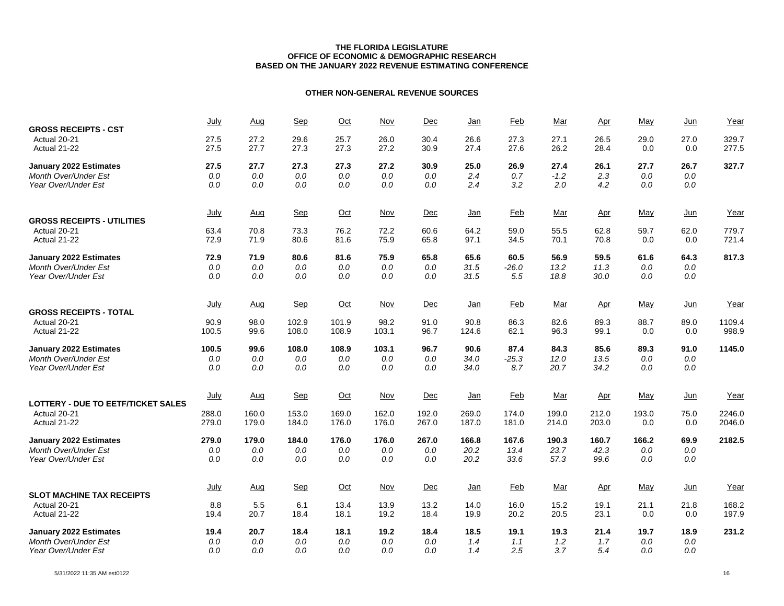# **OTHER NON-GENERAL REVENUE SOURCES**

| <b>GROSS RECEIPTS - CST</b>               | July         | Aug          | <b>Sep</b>   | $Oct$        | Nov          | Dec          | <u>Jan</u>   | Feb          | Mar          | Apr                   | May         | Jun         | Year           |
|-------------------------------------------|--------------|--------------|--------------|--------------|--------------|--------------|--------------|--------------|--------------|-----------------------|-------------|-------------|----------------|
| Actual 20-21<br>Actual 21-22              | 27.5<br>27.5 | 27.2<br>27.7 | 29.6<br>27.3 | 25.7<br>27.3 | 26.0<br>27.2 | 30.4<br>30.9 | 26.6<br>27.4 | 27.3<br>27.6 | 27.1<br>26.2 | 26.5<br>28.4          | 29.0<br>0.0 | 27.0<br>0.0 | 329.7<br>277.5 |
| <b>January 2022 Estimates</b>             | 27.5         | 27.7         | 27.3         | 27.3         | 27.2         | 30.9         | 25.0         | 26.9         | 27.4         | 26.1                  | 27.7        | 26.7        | 327.7          |
| <b>Month Over/Under Est</b>               | 0.0          | 0.0          | 0.0          | 0.0          | 0.0          | 0.0          | 2.4          | 0.7          | $-1.2$       | 2.3                   | 0.0         | 0.0         |                |
| Year Over/Under Est                       | 0.0          | 0.0          | 0.0          | 0.0          | 0.0          | 0.0          | 2.4          | 3.2          | 2.0          | 4.2                   | 0.0         | 0.0         |                |
|                                           | July         | Aug          | <b>Sep</b>   | $Oct$        | Nov          | Dec          | Jan          | Feb          | Mar          | $_{\Delta \text{pr}}$ | May         | Jun         | Year           |
| <b>GROSS RECEIPTS - UTILITIES</b>         |              |              |              |              |              |              |              |              |              |                       |             |             |                |
| Actual 20-21<br>Actual 21-22              | 63.4<br>72.9 | 70.8<br>71.9 | 73.3<br>80.6 | 76.2<br>81.6 | 72.2<br>75.9 | 60.6<br>65.8 | 64.2<br>97.1 | 59.0<br>34.5 | 55.5<br>70.1 | 62.8<br>70.8          | 59.7<br>0.0 | 62.0<br>0.0 | 779.7<br>721.4 |
| <b>January 2022 Estimates</b>             | 72.9         | 71.9         | 80.6         | 81.6         | 75.9         | 65.8         | 65.6         | 60.5         | 56.9         | 59.5                  | 61.6        | 64.3        | 817.3          |
| <b>Month Over/Under Est</b>               | 0.0          | 0.0          | 0.0          | 0.0          | 0.0          | 0.0          | 31.5         | $-26.0$      | 13.2         | 11.3                  | 0.0         | 0.0         |                |
| Year Over/Under Est                       | 0.0          | 0.0          | 0.0          | 0.0          | 0.0          | 0.0          | 31.5         | 5.5          | 18.8         | 30.0                  | 0.0         | 0.0         |                |
|                                           | July         | <u>Aug</u>   | <b>Sep</b>   | $Oct$        | Nov          | Dec          | <u>Jan</u>   | <b>Feb</b>   | Mar          | <u>Apr</u>            | May         | $Jun$       | Year           |
| <b>GROSS RECEIPTS - TOTAL</b>             |              |              |              |              |              |              |              |              |              |                       |             |             |                |
| Actual 20-21                              | 90.9         | 98.0         | 102.9        | 101.9        | 98.2         | 91.0         | 90.8         | 86.3         | 82.6         | 89.3                  | 88.7        | 89.0        | 1109.4         |
| Actual 21-22                              | 100.5        | 99.6         | 108.0        | 108.9        | 103.1        | 96.7         | 124.6        | 62.1         | 96.3         | 99.1                  | 0.0         | 0.0         | 998.9          |
| <b>January 2022 Estimates</b>             | 100.5        | 99.6         | 108.0        | 108.9        | 103.1        | 96.7         | 90.6         | 87.4         | 84.3         | 85.6                  | 89.3        | 91.0        | 1145.0         |
| <b>Month Over/Under Est</b>               | 0.0          | 0.0          | 0.0          | 0.0          | 0.0          | 0.0          | 34.0         | $-25.3$      | 12.0         | 13.5                  | 0.0         | 0.0         |                |
| Year Over/Under Est                       | 0.0          | 0.0          | 0.0          | 0.0          | 0.0          | 0.0          | 34.0         | 8.7          | 20.7         | 34.2                  | 0.0         | 0.0         |                |
| <b>LOTTERY - DUE TO EETF/TICKET SALES</b> | July         | Aug          | Sep          | $Oct$        | Nov          | Dec          | <u>Jan</u>   | Feb          | Mar          | Apr                   | May         | Jun         | Year           |
| Actual 20-21                              | 288.0        | 160.0        | 153.0        | 169.0        | 162.0        | 192.0        | 269.0        | 174.0        | 199.0        | 212.0                 | 193.0       | 75.0        | 2246.0         |
| Actual 21-22                              | 279.0        | 179.0        | 184.0        | 176.0        | 176.0        | 267.0        | 187.0        | 181.0        | 214.0        | 203.0                 | 0.0         | 0.0         | 2046.0         |
| <b>January 2022 Estimates</b>             | 279.0        | 179.0        | 184.0        | 176.0        | 176.0        | 267.0        | 166.8        | 167.6        | 190.3        | 160.7                 | 166.2       | 69.9        | 2182.5         |
| Month Over/Under Est                      | 0.0          | 0.0          | 0.0          | 0.0          | 0.0          | 0.0          | 20.2         | 13.4         | 23.7         | 42.3                  | 0.0         | 0.0         |                |
| Year Over/Under Est                       | 0.0          | 0.0          | 0.0          | 0.0          | 0.0          | 0.0          | 20.2         | 33.6         | 57.3         | 99.6                  | 0.0         | 0.0         |                |
|                                           | July         | Aug          | <b>Sep</b>   | $Oct$        | Nov          | Dec          | <u>Jan</u>   | Feb          | Mar          | Apr                   | May         | $Jun$       | Year           |
| <b>SLOT MACHINE TAX RECEIPTS</b>          |              |              |              |              |              |              |              |              |              |                       |             |             |                |
| Actual 20-21                              | 8.8          | 5.5          | 6.1          | 13.4         | 13.9         | 13.2         | 14.0         | 16.0         | 15.2         | 19.1                  | 21.1        | 21.8        | 168.2          |
| Actual 21-22                              | 19.4         | 20.7         | 18.4         | 18.1         | 19.2         | 18.4         | 19.9         | 20.2         | 20.5         | 23.1                  | 0.0         | 0.0         | 197.9          |
| <b>January 2022 Estimates</b>             | 19.4         | 20.7         | 18.4         | 18.1         | 19.2         | 18.4         | 18.5         | 19.1         | 19.3         | 21.4                  | 19.7        | 18.9        | 231.2          |
| <b>Month Over/Under Est</b>               | 0.0          | 0.0          | 0.0          | 0.0          | 0.0          | 0.0          | 1.4          | 1.1          | 1.2          | 1.7                   | 0.0         | 0.0         |                |
| Year Over/Under Est                       | 0.0          | 0.0          | 0.0          | 0.0          | 0.0          | 0.0          | 1.4          | 2.5          | 3.7          | 5.4                   | 0.0         | 0.0         |                |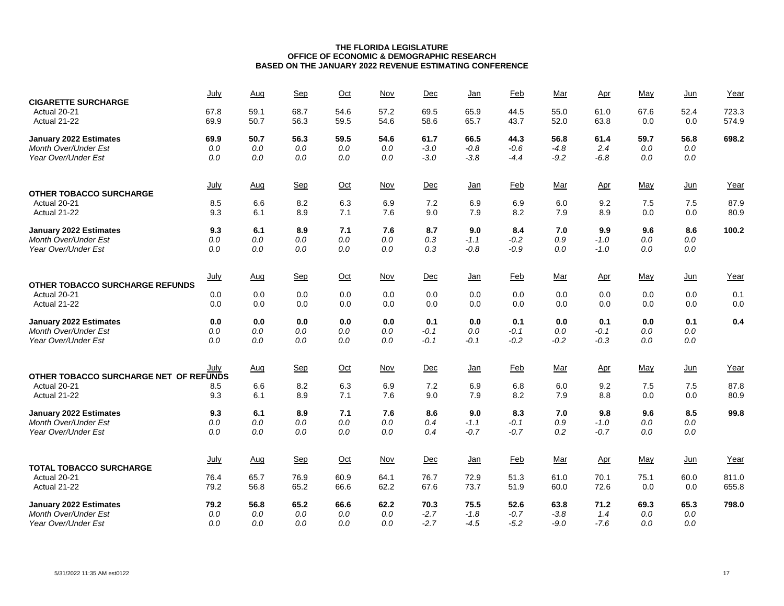| <b>CIGARETTE SURCHARGE</b>             | July         | Aug          | Sep          | $Oct$        | Nov          | Dec          | <u>Jan</u>   | Feb          | Mar          | Apr          | May         | Jun         | Year           |
|----------------------------------------|--------------|--------------|--------------|--------------|--------------|--------------|--------------|--------------|--------------|--------------|-------------|-------------|----------------|
| Actual 20-21<br>Actual 21-22           | 67.8<br>69.9 | 59.1<br>50.7 | 68.7<br>56.3 | 54.6<br>59.5 | 57.2<br>54.6 | 69.5<br>58.6 | 65.9<br>65.7 | 44.5<br>43.7 | 55.0<br>52.0 | 61.0<br>63.8 | 67.6<br>0.0 | 52.4<br>0.0 | 723.3<br>574.9 |
| <b>January 2022 Estimates</b>          | 69.9         | 50.7         | 56.3         | 59.5         | 54.6         | 61.7         | 66.5         | 44.3         | 56.8         | 61.4         | 59.7        | 56.8        | 698.2          |
| Month Over/Under Est                   | 0.0          | 0.0          | 0.0          | 0.0          | 0.0          | $-3.0$       | $-0.8$       | $-0.6$       | $-4.8$       | 2.4          | 0.0         | 0.0         |                |
| Year Over/Under Est                    | 0.0          | 0.0          | 0.0          | 0.0          | 0.0          | $-3.0$       | $-3.8$       | $-4.4$       | $-9.2$       | $-6.8$       | 0.0         | $0.0\,$     |                |
|                                        | <b>July</b>  | Aug          | <b>Sep</b>   | $Oct$        | <b>Nov</b>   | Dec          | <u>Jan</u>   | Feb          | Mar          | Apr          | May         | Jun         | Year           |
| <b>OTHER TOBACCO SURCHARGE</b>         |              |              |              |              |              |              |              |              |              |              |             |             |                |
| Actual 20-21                           | 8.5          | 6.6          | 8.2          | 6.3          | 6.9          | 7.2          | 6.9          | 6.9          | 6.0          | 9.2          | 7.5         | 7.5         | 87.9           |
| Actual 21-22                           | 9.3          | 6.1          | 8.9          | 7.1          | 7.6          | 9.0          | 7.9          | 8.2          | 7.9          | 8.9          | 0.0         | 0.0         | 80.9           |
| <b>January 2022 Estimates</b>          | 9.3          | 6.1          | 8.9          | 7.1          | 7.6          | 8.7          | 9.0          | 8.4          | 7.0          | 9.9          | 9.6         | 8.6         | 100.2          |
| <b>Month Over/Under Est</b>            | 0.0          | 0.0          | 0.0          | 0.0          | 0.0          | 0.3          | $-1.1$       | $-0.2$       | 0.9          | $-1.0$       | $0.0\,$     | $0.0\,$     |                |
| Year Over/Under Est                    | 0.0          | 0.0          | 0.0          | 0.0          | 0.0          | 0.3          | $-0.8$       | $-0.9$       | 0.0          | $-1.0$       | 0.0         | 0.0         |                |
|                                        | <u>July</u>  | <b>Aug</b>   | Sep          | $Oct$        | <u>Nov</u>   | Dec          | <u>Jan</u>   | <b>Feb</b>   | <u>Mar</u>   | <u>Apr</u>   | <u>May</u>  | <u>Jun</u>  | Year           |
| <b>OTHER TOBACCO SURCHARGE REFUNDS</b> |              |              |              |              |              |              |              |              |              |              |             |             |                |
| Actual 20-21                           | 0.0          | 0.0          | 0.0          | 0.0          | 0.0          | 0.0          | 0.0          | 0.0          | 0.0          | 0.0          | 0.0         | 0.0         | 0.1            |
| Actual 21-22                           | 0.0          | 0.0          | 0.0          | 0.0          | 0.0          | 0.0          | 0.0          | 0.0          | 0.0          | 0.0          | 0.0         | 0.0         | 0.0            |
| <b>January 2022 Estimates</b>          | 0.0          | 0.0          | 0.0          | 0.0          | 0.0          | 0.1          | 0.0          | 0.1          | 0.0          | 0.1          | 0.0         | 0.1         | 0.4            |
| <b>Month Over/Under Est</b>            | 0.0          | 0.0          | 0.0          | 0.0          | 0.0          | $-0.1$       | 0.0          | $-0.1$       | 0.0          | $-0.1$       | 0.0         | 0.0         |                |
| Year Over/Under Est                    | 0.0          | 0.0          | 0.0          | 0.0          | 0.0          | $-0.1$       | $-0.1$       | $-0.2$       | $-0.2$       | $-0.3$       | 0.0         | 0.0         |                |
|                                        | July         | Aug          | Sep          | $Oct$        | <b>Nov</b>   | Dec          | <u>Jan</u>   | <b>Feb</b>   | Mar          | Apr          | May         | $Jun$       | Year           |
| OTHER TOBACCO SURCHARGE NET OF REFUNDS |              |              |              |              |              |              |              |              |              |              |             |             |                |
| Actual 20-21                           | 8.5          | 6.6          | 8.2          | 6.3          | 6.9          | 7.2          | 6.9          | 6.8          | 6.0          | 9.2          | 7.5         | 7.5         | 87.8           |
| Actual 21-22                           | 9.3          | 6.1          | 8.9          | 7.1          | 7.6          | 9.0          | 7.9          | 8.2          | 7.9          | 8.8          | 0.0         | 0.0         | 80.9           |
| <b>January 2022 Estimates</b>          | 9.3          | 6.1          | 8.9          | 7.1          | 7.6          | 8.6          | 9.0          | 8.3          | 7.0          | 9.8          | 9.6         | 8.5         | 99.8           |
| Month Over/Under Est                   | 0.0          | 0.0          | 0.0          | 0.0          | $0.0$        | 0.4          | $-1.1$       | $-0.1$       | 0.9          | $-1.0$       | 0.0         | $0.0\,$     |                |
| Year Over/Under Est                    | 0.0          | 0.0          | 0.0          | 0.0          | 0.0          | 0.4          | $-0.7$       | $-0.7$       | 0.2          | $-0.7$       | 0.0         | 0.0         |                |
|                                        | <b>July</b>  | Aug          | Sep          | $Oct$        | $Nov$        | Dec          | <u>Jan</u>   | <b>Feb</b>   | Mar          | Apr          | May         | $Jun$       | Year           |
| <b>TOTAL TOBACCO SURCHARGE</b>         |              |              |              |              |              |              |              |              |              |              |             |             |                |
| Actual 20-21                           | 76.4         | 65.7         | 76.9         | 60.9         | 64.1         | 76.7         | 72.9         | 51.3         | 61.0         | 70.1         | 75.1        | 60.0        | 811.0          |
| Actual 21-22                           | 79.2         | 56.8         | 65.2         | 66.6         | 62.2         | 67.6         | 73.7         | 51.9         | 60.0         | 72.6         | 0.0         | 0.0         | 655.8          |
| <b>January 2022 Estimates</b>          | 79.2         | 56.8         | 65.2         | 66.6         | 62.2         | 70.3         | 75.5         | 52.6         | 63.8         | 71.2         | 69.3        | 65.3        | 798.0          |
| <b>Month Over/Under Est</b>            | 0.0          | 0.0          | 0.0          | 0.0          | 0.0          | $-2.7$       | $-1.8$       | $-0.7$       | $-3.8$       | 1.4          | 0.0         | 0.0         |                |
| Year Over/Under Est                    | 0.0          | 0.0          | 0.0          | 0.0          | 0.0          | $-2.7$       | $-4.5$       | -5.2         | $-9.0$       | $-7.6$       | 0.0         | 0.0         |                |